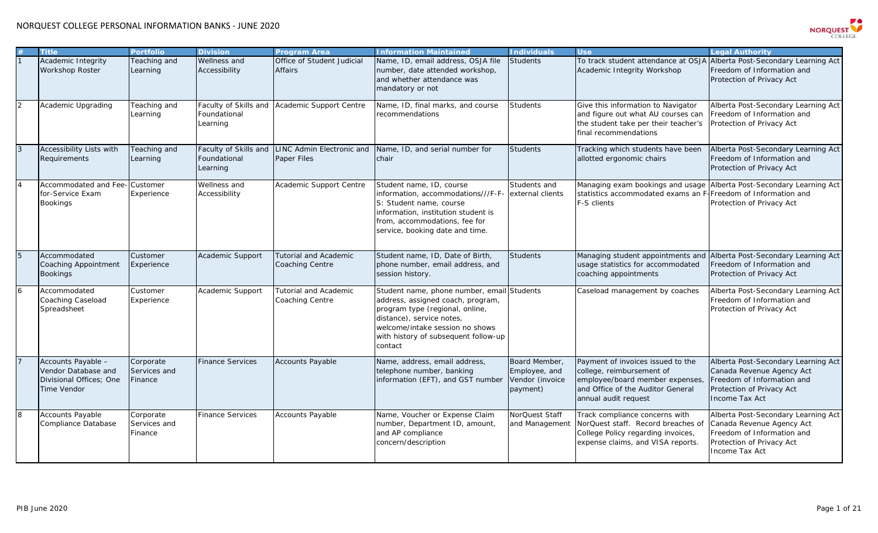

|                | <b>Title</b>                                                                               | <b>Portfolio</b>                     | <b>Division</b>                                   | <b>Program Area</b>                             | <b>Information Maintained</b>                                                                                                                                                                                                         | <b>Individuals</b>                                            | <b>Use</b>                                                                                                                                                     | Legal Authority                                                                                                                               |
|----------------|--------------------------------------------------------------------------------------------|--------------------------------------|---------------------------------------------------|-------------------------------------------------|---------------------------------------------------------------------------------------------------------------------------------------------------------------------------------------------------------------------------------------|---------------------------------------------------------------|----------------------------------------------------------------------------------------------------------------------------------------------------------------|-----------------------------------------------------------------------------------------------------------------------------------------------|
|                | Academic Integrity<br>Workshop Roster                                                      | Teaching and<br>Learning             | Wellness and<br>Accessibility                     | Office of Student Judicial<br>Affairs           | Name, ID, email address, OSJA file<br>number, date attended workshop,<br>and whether attendance was<br>mandatory or not                                                                                                               | <b>Students</b>                                               | To track student attendance at OSJA<br>Academic Integrity Workshop                                                                                             | Alberta Post-Secondary Learning Act<br>Freedom of Information and<br>Protection of Privacy Act                                                |
| $\overline{2}$ | Academic Upgrading                                                                         | Teaching and<br>Learning             | Faculty of Skills and<br>Foundational<br>Learning | Academic Support Centre                         | Name, ID, final marks, and course<br>recommendations                                                                                                                                                                                  | <b>Students</b>                                               | Give this information to Navigator<br>and figure out what AU courses can<br>the student take per their teacher's<br>final recommendations                      | Alberta Post-Secondary Learning Act<br>Freedom of Information and<br>Protection of Privacy Act                                                |
|                | <b>Accessibility Lists with</b><br>Requirements                                            | Teaching and<br>Learning             | Faculty of Skills and<br>Foundational<br>Learning | <b>LINC Admin Electronic and</b><br>Paper Files | Name, ID, and serial number for<br>chair                                                                                                                                                                                              | <b>Students</b>                                               | Tracking which students have been<br>allotted ergonomic chairs                                                                                                 | Alberta Post-Secondary Learning Act<br>Freedom of Information and<br>Protection of Privacy Act                                                |
|                | Accommodated and Fee-<br>for-Service Exam<br><b>Bookings</b>                               | Customer<br>Experience               | Wellness and<br>Accessibility                     | Academic Support Centre                         | Student name, ID, course<br>information, accommodations///F-F<br>S: Student name, course<br>information, institution student is<br>from, accommodations, fee for<br>service, booking date and time.                                   | Students and<br>external clients                              | Managing exam bookings and usage<br>statistics accommodated exams an F<br>F-S clients                                                                          | Alberta Post-Secondary Learning Act<br>Freedom of Information and<br>Protection of Privacy Act                                                |
|                | Accommodated<br><b>Coaching Appointment</b><br><b>Bookings</b>                             | Customer<br>Experience               | Academic Support                                  | <b>Tutorial and Academic</b><br>Coaching Centre | Student name, ID, Date of Birth,<br>phone number, email address, and<br>session history.                                                                                                                                              | <b>Students</b>                                               | Managing student appointments and<br>usage statistics for accommodated<br>coaching appointments                                                                | Alberta Post-Secondary Learning Act<br>Freedom of Information and<br>Protection of Privacy Act                                                |
| $\overline{6}$ | Accommodated<br>Coaching Caseload<br>Spreadsheet                                           | Customer<br>Experience               | Academic Support                                  | <b>Tutorial and Academic</b><br>Coaching Centre | Student name, phone number, email Students<br>address, assigned coach, program,<br>program type (regional, online,<br>distance), service notes,<br>welcome/intake session no shows<br>with history of subsequent follow-up<br>contact |                                                               | Caseload management by coaches                                                                                                                                 | Alberta Post-Secondary Learning Act<br>Freedom of Information and<br>Protection of Privacy Act                                                |
|                | Accounts Payable -<br>Vendor Database and<br>Divisional Offices; One<br><b>Time Vendor</b> | Corporate<br>Services and<br>Finance | <b>Finance Services</b>                           | <b>Accounts Payable</b>                         | Name, address, email address,<br>telephone number, banking<br>information (EFT), and GST number                                                                                                                                       | Board Member,<br>Employee, and<br>Vendor (invoice<br>payment) | Payment of invoices issued to the<br>college, reimbursement of<br>employee/board member expenses,<br>and Office of the Auditor General<br>annual audit request | Alberta Post-Secondary Learning Act<br>Canada Revenue Agency Act<br>Freedom of Information and<br>Protection of Privacy Act<br>Income Tax Act |
| 8              | <b>Accounts Payable</b><br>Compliance Database                                             | Corporate<br>Services and<br>Finance | <b>Finance Services</b>                           | Accounts Payable                                | Name, Voucher or Expense Claim<br>number, Department ID, amount,<br>and AP compliance<br>concern/description                                                                                                                          | NorQuest Staff<br>and Management                              | Track compliance concerns with<br>NorQuest staff. Record breaches of<br>College Policy regarding invoices,<br>expense claims, and VISA reports.                | Alberta Post-Secondary Learning Act<br>Canada Revenue Agency Act<br>Freedom of Information and<br>Protection of Privacy Act<br>Income Tax Act |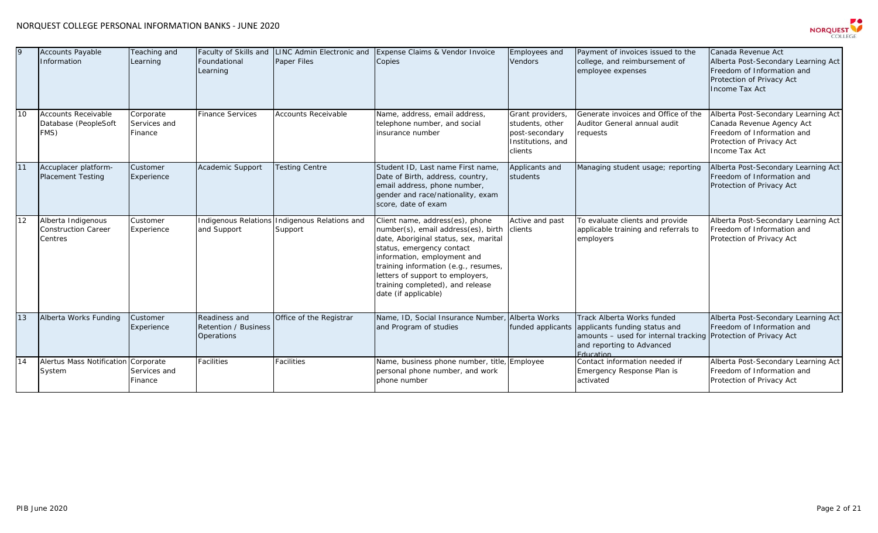## NORQUEST COLLEGE PERSONAL INFORMATION BANKS - JUNE 2020



| $\mathbf Q$ | <b>Accounts Payable</b><br>Information                      | Teaching and<br>Learning             | Faculty of Skills and<br>Foundational<br>Learning          | LINC Admin Electronic and<br>Paper Files                 | Expense Claims & Vendor Invoice<br>Copies                                                                                                                                                                                                                                                                           | Employees and<br><b>Vendors</b>                                                       | Payment of invoices issued to the<br>college, and reimbursement of<br>employee expenses                                                                                 | Canada Revenue Act<br>Alberta Post-Secondary Learning Act<br>Freedom of Information and<br>Protection of Privacy Act<br>Income Tax Act        |
|-------------|-------------------------------------------------------------|--------------------------------------|------------------------------------------------------------|----------------------------------------------------------|---------------------------------------------------------------------------------------------------------------------------------------------------------------------------------------------------------------------------------------------------------------------------------------------------------------------|---------------------------------------------------------------------------------------|-------------------------------------------------------------------------------------------------------------------------------------------------------------------------|-----------------------------------------------------------------------------------------------------------------------------------------------|
| 10          | <b>Accounts Receivable</b><br>Database (PeopleSoft<br>FMS)  | Corporate<br>Services and<br>Finance | <b>Finance Services</b>                                    | <b>Accounts Receivable</b>                               | Name, address, email address,<br>telephone number, and social<br>linsurance number                                                                                                                                                                                                                                  | Grant providers,<br>students, other<br>post-secondary<br>Institutions, and<br>clients | Generate invoices and Office of the<br>Auditor General annual audit<br>requests                                                                                         | Alberta Post-Secondary Learning Act<br>Canada Revenue Agency Act<br>Freedom of Information and<br>Protection of Privacy Act<br>Income Tax Act |
| 11          | Accuplacer platform-<br><b>Placement Testing</b>            | Customer<br>Experience               | Academic Support                                           | <b>Testing Centre</b>                                    | Student ID, Last name First name,<br>Date of Birth, address, country,<br>email address, phone number,<br>gender and race/nationality, exam<br>score, date of exam                                                                                                                                                   | Applicants and<br>students                                                            | Managing student usage; reporting                                                                                                                                       | Alberta Post-Secondary Learning Act<br>Freedom of Information and<br>Protection of Privacy Act                                                |
| 12          | Alberta Indigenous<br><b>Construction Career</b><br>Centres | Customer<br>Experience               | and Support                                                | Indigenous Relations Indigenous Relations and<br>Support | Client name, address(es), phone<br>number(s), email address(es), birth<br>date, Aboriginal status, sex, marital<br>status, emergency contact<br>information, employment and<br>training information (e.g., resumes,<br>letters of support to employers,<br>training completed), and release<br>date (if applicable) | Active and past<br>clients                                                            | To evaluate clients and provide<br>applicable training and referrals to<br>employers                                                                                    | Alberta Post-Secondary Learning Act<br>Freedom of Information and<br>Protection of Privacy Act                                                |
| 13          | Alberta Works Funding                                       | Customer<br>Experience               | Readiness and<br><b>Retention / Business</b><br>Operations | Office of the Registrar                                  | Name, ID, Social Insurance Number<br>and Program of studies                                                                                                                                                                                                                                                         | Alberta Works<br>funded applicants                                                    | Track Alberta Works funded<br>applicants funding status and<br>amounts - used for internal tracking Protection of Privacy Act<br>and reporting to Advanced<br>Education | Alberta Post-Secondary Learning Act<br>Freedom of Information and                                                                             |
| 14          | <b>Alertus Mass Notification</b><br>System                  | Corporate<br>Services and<br>Finance | <b>Facilities</b>                                          | Facilities                                               | Name, business phone number, title<br>personal phone number, and work<br>phone number                                                                                                                                                                                                                               | Employee                                                                              | Contact information needed if<br>Emergency Response Plan is<br>activated                                                                                                | Alberta Post-Secondary Learning Act<br>Freedom of Information and<br>Protection of Privacy Act                                                |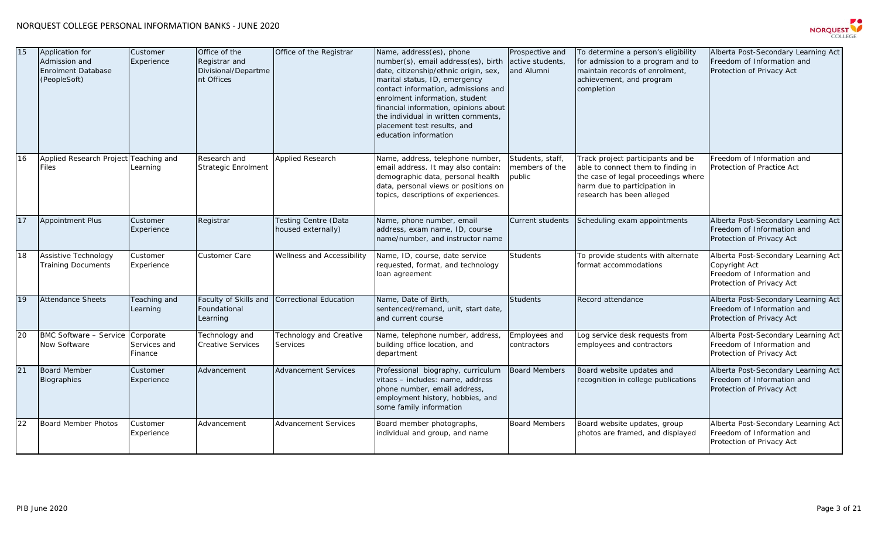

| 15 | Application for<br>Admission and<br><b>Enrolment Database</b><br>(PeopleSoft) | Customer<br>Experience               | Office of the<br>Registrar and<br>Divisional/Departme<br>nt Offices | Office of the Registrar                           | Name, address(es), phone<br>number(s), email address(es), birth<br>date, citizenship/ethnic origin, sex,<br>marital status, ID, emergency<br>contact information, admissions and<br>enrolment information, student<br>financial information, opinions about<br>the individual in written comments,<br>placement test results, and<br>education information | Prospective and<br>active students,<br>and Alumni | To determine a person's eligibility<br>for admission to a program and to<br>maintain records of enrolment,<br>achievement, and program<br>completion                        | Alberta Post-Secondary Learning Act<br>Freedom of Information and<br>Protection of Privacy Act                  |
|----|-------------------------------------------------------------------------------|--------------------------------------|---------------------------------------------------------------------|---------------------------------------------------|------------------------------------------------------------------------------------------------------------------------------------------------------------------------------------------------------------------------------------------------------------------------------------------------------------------------------------------------------------|---------------------------------------------------|-----------------------------------------------------------------------------------------------------------------------------------------------------------------------------|-----------------------------------------------------------------------------------------------------------------|
| 16 | Applied Research Project Teaching and<br><b>Files</b>                         | Learning                             | Research and<br>Strategic Enrolment                                 | <b>Applied Research</b>                           | Name, address, telephone number,<br>email address. It may also contain:<br>demographic data, personal health<br>data, personal views or positions on<br>topics, descriptions of experiences.                                                                                                                                                               | Students, staff,<br>members of the<br>public      | Track project participants and be<br>able to connect them to finding in<br>the case of legal proceedings where<br>harm due to participation in<br>research has been alleged | Freedom of Information and<br>Protection of Practice Act                                                        |
| 17 | <b>Appointment Plus</b>                                                       | Customer<br>Experience               | Registrar                                                           | <b>Testing Centre (Data</b><br>housed externally) | Name, phone number, email<br>address, exam name, ID, course<br>name/number, and instructor name                                                                                                                                                                                                                                                            | Current students                                  | Scheduling exam appointments                                                                                                                                                | Alberta Post-Secondary Learning Act<br>Freedom of Information and<br>Protection of Privacy Act                  |
| 18 | Assistive Technology<br><b>Training Documents</b>                             | Customer<br>Experience               | Customer Care                                                       | Wellness and Accessibility                        | Name, ID, course, date service<br>requested, format, and technology<br>loan agreement                                                                                                                                                                                                                                                                      | Students                                          | To provide students with alternate<br>format accommodations                                                                                                                 | Alberta Post-Secondary Learning Act<br>Copyright Act<br>Freedom of Information and<br>Protection of Privacy Act |
| 19 | <b>Attendance Sheets</b>                                                      | Teaching and<br>Learning             | Faculty of Skills and<br>Foundational<br>Learning                   | Correctional Education                            | Name, Date of Birth,<br>sentenced/remand, unit, start date,<br>and current course                                                                                                                                                                                                                                                                          | <b>Students</b>                                   | Record attendance                                                                                                                                                           | Alberta Post-Secondary Learning Act<br>Freedom of Information and<br>Protection of Privacy Act                  |
| 20 | <b>BMC Software - Service</b><br>Now Software                                 | Corporate<br>Services and<br>Finance | Technology and<br>Creative Services                                 | <b>Technology and Creative</b><br>Services        | Name, telephone number, address,<br>building office location, and<br>department                                                                                                                                                                                                                                                                            | Employees and<br>contractors                      | Log service desk requests from<br>employees and contractors                                                                                                                 | Alberta Post-Secondary Learning Act<br>Freedom of Information and<br>Protection of Privacy Act                  |
| 21 | <b>Board Member</b><br>Biographies                                            | Customer<br>Experience               | Advancement                                                         | <b>Advancement Services</b>                       | Professional biography, curriculum<br>vitaes - includes: name, address<br>phone number, email address,<br>employment history, hobbies, and<br>some family information                                                                                                                                                                                      | <b>Board Members</b>                              | Board website updates and<br>recognition in college publications                                                                                                            | Alberta Post-Secondary Learning Act<br>Freedom of Information and<br>Protection of Privacy Act                  |
| 22 | <b>Board Member Photos</b>                                                    | Customer<br>Experience               | Advancement                                                         | <b>Advancement Services</b>                       | Board member photographs,<br>individual and group, and name                                                                                                                                                                                                                                                                                                | <b>Board Members</b>                              | Board website updates, group<br>photos are framed, and displayed                                                                                                            | Alberta Post-Secondary Learning Act<br>Freedom of Information and<br>Protection of Privacy Act                  |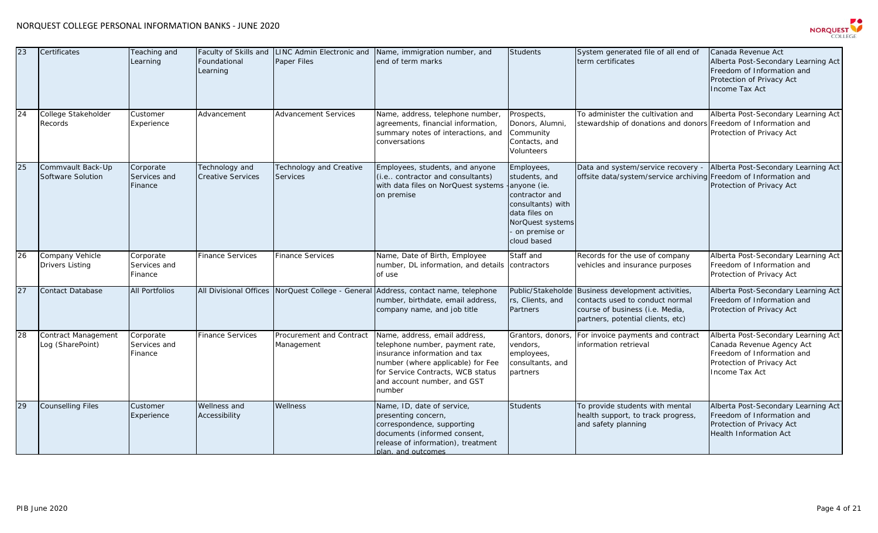

| 23 | Certificates                              | Teaching and<br>Learning             | Foundational<br>Learning                   | Faculty of Skills and LINC Admin Electronic and<br><b>Paper Files</b> | Name, immigration number, and<br>end of term marks                                                                                                                                                                   | <b>Students</b>                                                                                                                                        | System generated file of all end of<br>term certificates                                                                                    | Canada Revenue Act<br>Alberta Post-Secondary Learning Act<br>Freedom of Information and<br>Protection of Privacy Act<br><b>Income Tax Act</b>        |
|----|-------------------------------------------|--------------------------------------|--------------------------------------------|-----------------------------------------------------------------------|----------------------------------------------------------------------------------------------------------------------------------------------------------------------------------------------------------------------|--------------------------------------------------------------------------------------------------------------------------------------------------------|---------------------------------------------------------------------------------------------------------------------------------------------|------------------------------------------------------------------------------------------------------------------------------------------------------|
| 24 | College Stakeholder<br>Records            | Customer<br>Experience               | Advancement                                | <b>Advancement Services</b>                                           | Name, address, telephone number,<br>agreements, financial information,<br>summary notes of interactions, and<br>conversations                                                                                        | Prospects,<br>Donors, Alumni,<br>Community<br>Contacts, and<br>Volunteers                                                                              | To administer the cultivation and<br>stewardship of donations and donors                                                                    | Alberta Post-Secondary Learning Act<br>Freedom of Information and<br>Protection of Privacy Act                                                       |
| 25 | Commvault Back-Up<br>Software Solution    | Corporate<br>Services and<br>Finance | Technology and<br><b>Creative Services</b> | Technology and Creative<br><b>Services</b>                            | Employees, students, and anyone<br>(i.e contractor and consultants)<br>with data files on NorQuest systems<br>on premise                                                                                             | Employees,<br>students, and<br>anyone (ie.<br>contractor and<br>consultants) with<br>data files on<br>NorQuest systems<br>on premise or<br>cloud based | Data and system/service recovery -<br>offsite data/system/service archiving                                                                 | Alberta Post-Secondary Learning Act<br>Freedom of Information and<br>Protection of Privacy Act                                                       |
| 26 | Company Vehicle<br><b>Drivers Listing</b> | Corporate<br>Services and<br>Finance | <b>Finance Services</b>                    | <b>Finance Services</b>                                               | Name, Date of Birth, Employee<br>number, DL information, and details<br>of use                                                                                                                                       | Staff and<br>contractors                                                                                                                               | Records for the use of company<br>vehicles and insurance purposes                                                                           | Alberta Post-Secondary Learning Act<br>Freedom of Information and<br>Protection of Privacy Act                                                       |
| 27 | <b>Contact Database</b>                   | <b>All Portfolios</b>                |                                            | All Divisional Offices NorQuest College - General                     | Address, contact name, telephone<br>number, birthdate, email address,<br>company name, and job title                                                                                                                 | Public/Stakeholde<br>rs, Clients, and<br>Partners                                                                                                      | Business development activities,<br>contacts used to conduct normal<br>course of business (i.e. Media,<br>partners, potential clients, etc) | Alberta Post-Secondary Learning Act<br>Freedom of Information and<br>Protection of Privacy Act                                                       |
| 28 | Contract Management<br>Log (SharePoint)   | Corporate<br>Services and<br>Finance | <b>Finance Services</b>                    | Procurement and Contract<br>Management                                | Name, address, email address,<br>telephone number, payment rate,<br>insurance information and tax<br>number (where applicable) for Fee<br>for Service Contracts, WCB status<br>and account number, and GST<br>number | Grantors, donors,<br>vendors,<br>employees,<br>consultants, and<br>partners                                                                            | For invoice payments and contract<br>information retrieval                                                                                  | Alberta Post-Secondary Learning Act<br>Canada Revenue Agency Act<br>Freedom of Information and<br>Protection of Privacy Act<br><b>Income Tax Act</b> |
| 29 | <b>Counselling Files</b>                  | Customer<br>Experience               | Wellness and<br>Accessibility              | Wellness                                                              | Name, ID, date of service,<br>presenting concern,<br>correspondence, supporting<br>documents (informed consent,<br>release of information), treatment<br>plan, and outcomes.                                         | <b>Students</b>                                                                                                                                        | To provide students with mental<br>health support, to track progress,<br>and safety planning                                                | Alberta Post-Secondary Learning Act<br>Freedom of Information and<br>Protection of Privacy Act<br><b>Health Information Act</b>                      |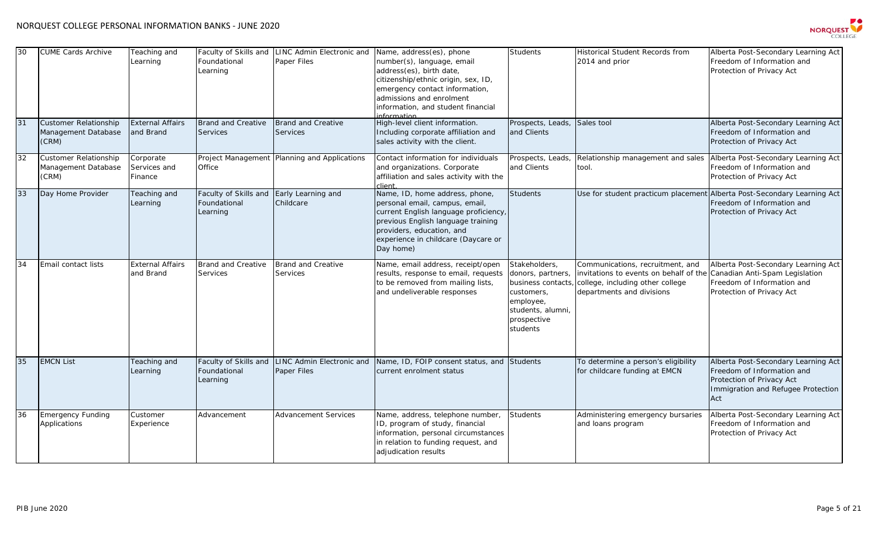

| 30 | <b>CUME Cards Archive</b>                                    | Teaching and<br>Learning             | Faculty of Skills and<br>Foundational<br>Learning | LINC Admin Electronic and<br>Paper Files        | Name, address(es), phone<br>number(s), language, email<br>address(es), birth date,<br>citizenship/ethnic origin, sex, ID,<br>emergency contact information,<br>admissions and enrolment<br>information, and student financial<br>nformation | <b>Students</b>                                                                                                                    | Historical Student Records from<br>2014 and prior                                                                                           | Alberta Post-Secondary Learning Act<br>Freedom of Information and<br>Protection of Privacy Act                                              |
|----|--------------------------------------------------------------|--------------------------------------|---------------------------------------------------|-------------------------------------------------|---------------------------------------------------------------------------------------------------------------------------------------------------------------------------------------------------------------------------------------------|------------------------------------------------------------------------------------------------------------------------------------|---------------------------------------------------------------------------------------------------------------------------------------------|---------------------------------------------------------------------------------------------------------------------------------------------|
| 31 | <b>Customer Relationship</b><br>Management Database<br>(CRM) | <b>External Affairs</b><br>and Brand | Brand and Creative<br><b>Services</b>             | <b>Brand and Creative</b><br><b>Services</b>    | High-level client information.<br>Including corporate affiliation and<br>sales activity with the client.                                                                                                                                    | Prospects, Leads<br>and Clients                                                                                                    | Sales tool                                                                                                                                  | Alberta Post-Secondary Learning Act<br>Freedom of Information and<br>Protection of Privacy Act                                              |
| 32 | <b>Customer Relationship</b><br>Management Database<br>(CRM) | Corporate<br>Services and<br>Finance | Office                                            | Project Management Planning and Applications    | Contact information for individuals<br>and organizations. Corporate<br>affiliation and sales activity with the<br>client                                                                                                                    | Prospects, Leads<br>and Clients                                                                                                    | Relationship management and sales<br>tool.                                                                                                  | Alberta Post-Secondary Learning Act<br>Freedom of Information and<br>Protection of Privacy Act                                              |
| 33 | Day Home Provider                                            | Teaching and<br>Learning             | Faculty of Skills and<br>Foundational<br>Learning | Early Learning and<br>Childcare                 | Name, ID, home address, phone,<br>personal email, campus, email,<br>current English language proficiency,<br>previous English language training<br>providers, education, and<br>experience in childcare (Daycare or<br>Day home)            | <b>Students</b>                                                                                                                    | Use for student practicum placement Alberta Post-Secondary Learning Act                                                                     | Freedom of Information and<br>Protection of Privacy Act                                                                                     |
| 34 | Email contact lists                                          | <b>External Affairs</b><br>and Brand | Brand and Creative<br><b>Services</b>             | <b>Brand and Creative</b><br><b>Services</b>    | Name, email address, receipt/open<br>results, response to email, requests<br>to be removed from mailing lists,<br>and undeliverable responses                                                                                               | Stakeholders,<br>donors, partners,<br>business contacts<br>customers,<br>employee,<br>students, alumni,<br>prospective<br>students | Communications, recruitment, and<br>invitations to events on behalf of the<br>college, including other college<br>departments and divisions | Alberta Post-Secondary Learning Act<br>Canadian Anti-Spam Legislation<br>Freedom of Information and<br>Protection of Privacy Act            |
| 35 | <b>EMCN List</b>                                             | Teaching and<br>Learning             | Faculty of Skills and<br>Foundational<br>Learning | <b>LINC Admin Electronic and</b><br>Paper Files | Name, ID, FOIP consent status, and<br>current enrolment status                                                                                                                                                                              | Students                                                                                                                           | To determine a person's eligibility<br>for childcare funding at EMCN                                                                        | Alberta Post-Secondary Learning Act<br>Freedom of Information and<br>Protection of Privacy Act<br>Immigration and Refugee Protection<br>Act |
| 36 | <b>Emergency Funding</b><br>Applications                     | Customer<br>Experience               | Advancement                                       | Advancement Services                            | Name, address, telephone number,<br>ID, program of study, financial<br>information, personal circumstances<br>in relation to funding request, and<br>adjudication results                                                                   | <b>Students</b>                                                                                                                    | Administering emergency bursaries<br>and loans program                                                                                      | Alberta Post-Secondary Learning Act<br>Freedom of Information and<br>Protection of Privacy Act                                              |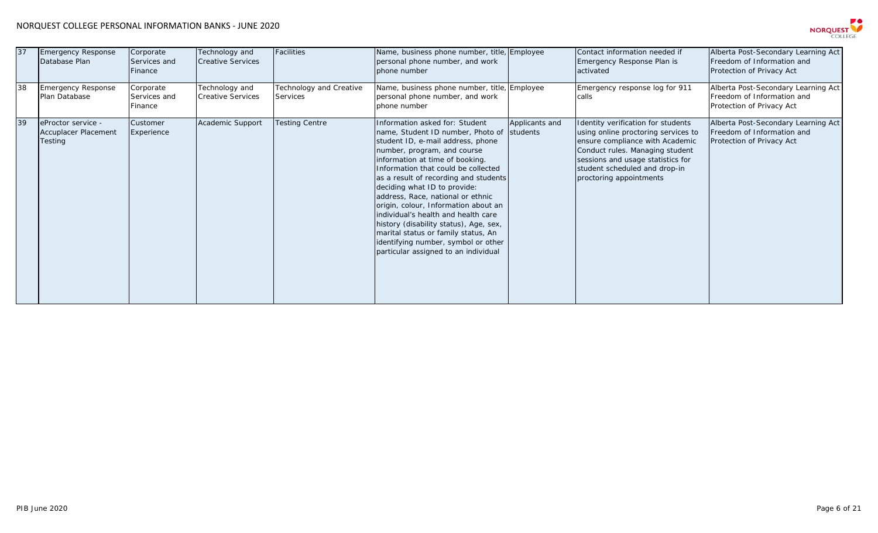## NORQUEST COLLEGE PERSONAL INFORMATION BANKS - JUNE 2020



| 37 | <b>Emergency Response</b><br>Database Plan                   | Corporate<br>Services and<br>Finance | Technology and<br><b>Creative Services</b> | Facilities                                 | Name, business phone number, title, Employee<br>personal phone number, and work<br>phone number                                                                                                                                                                                                                                                                                                                                                                                                                                                                                         |                | Contact information needed if<br>Emergency Response Plan is<br>activated                                                                                                                                                                         | Alberta Post-Secondary Learning Act<br>Freedom of Information and<br>Protection of Privacy Act |
|----|--------------------------------------------------------------|--------------------------------------|--------------------------------------------|--------------------------------------------|-----------------------------------------------------------------------------------------------------------------------------------------------------------------------------------------------------------------------------------------------------------------------------------------------------------------------------------------------------------------------------------------------------------------------------------------------------------------------------------------------------------------------------------------------------------------------------------------|----------------|--------------------------------------------------------------------------------------------------------------------------------------------------------------------------------------------------------------------------------------------------|------------------------------------------------------------------------------------------------|
| 38 | <b>Emergency Response</b><br>Plan Database                   | Corporate<br>Services and<br>Finance | Technology and<br><b>Creative Services</b> | Technology and Creative<br><b>Services</b> | Name, business phone number, title, Employee<br>personal phone number, and work<br>phone number                                                                                                                                                                                                                                                                                                                                                                                                                                                                                         |                | Emergency response log for 911<br>calls                                                                                                                                                                                                          | Alberta Post-Secondary Learning Act<br>Freedom of Information and<br>Protection of Privacy Act |
| 39 | eProctor service -<br>Accuplacer Placement<br><b>Testing</b> | Customer<br>Experience               | Academic Support                           | <b>Testing Centre</b>                      | Information asked for: Student<br>name, Student ID number, Photo of students<br>student ID, e-mail address, phone<br>number, program, and course<br>information at time of booking.<br>Information that could be collected<br>as a result of recording and students<br>deciding what ID to provide:<br>address, Race, national or ethnic<br>origin, colour, Information about an<br>individual's health and health care<br>history (disability status), Age, sex,<br>marital status or family status, An<br>identifying number, symbol or other<br>particular assigned to an individual | Applicants and | Identity verification for students<br>using online proctoring services to<br>ensure compliance with Academic<br>Conduct rules. Managing student<br>sessions and usage statistics for<br>student scheduled and drop-in<br>proctoring appointments | Alberta Post-Secondary Learning Act<br>Freedom of Information and<br>Protection of Privacy Act |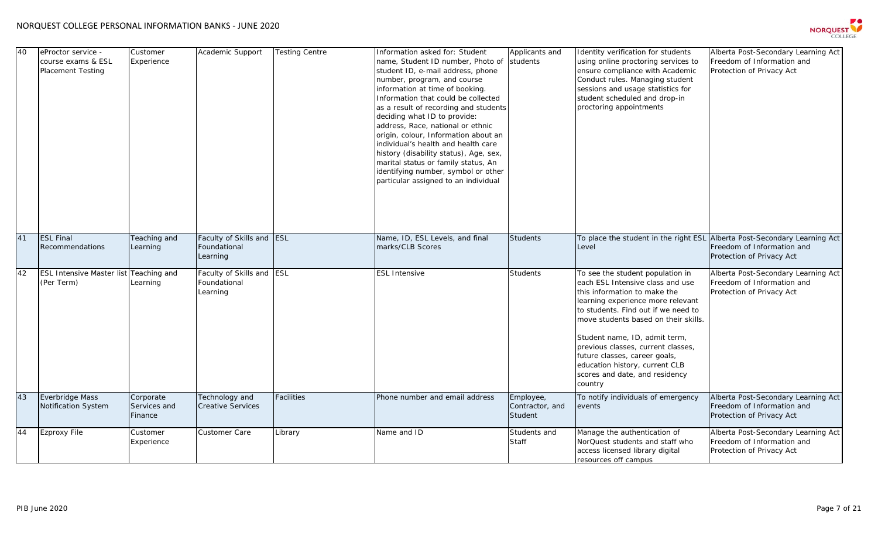

| 40 | eProctor service -<br>course exams & ESL<br><b>Placement Testing</b> | Customer<br>Experience               | Academic Support                                      | <b>Testing Centre</b> | Information asked for: Student<br>name, Student ID number, Photo of<br>student ID, e-mail address, phone<br>number, program, and course<br>information at time of booking.<br>Information that could be collected<br>as a result of recording and students<br>deciding what ID to provide:<br>address, Race, national or ethnic<br>origin, colour, Information about an<br>individual's health and health care<br>history (disability status), Age, sex,<br>marital status or family status, An<br>identifying number, symbol or other<br>particular assigned to an individual | Applicants and<br>students              | Identity verification for students<br>using online proctoring services to<br>ensure compliance with Academic<br>Conduct rules. Managing student<br>sessions and usage statistics for<br>student scheduled and drop-in<br>proctoring appointments                                                                                                                                                                | Alberta Post-Secondary Learning Act<br>Freedom of Information and<br>Protection of Privacy Act                                       |
|----|----------------------------------------------------------------------|--------------------------------------|-------------------------------------------------------|-----------------------|--------------------------------------------------------------------------------------------------------------------------------------------------------------------------------------------------------------------------------------------------------------------------------------------------------------------------------------------------------------------------------------------------------------------------------------------------------------------------------------------------------------------------------------------------------------------------------|-----------------------------------------|-----------------------------------------------------------------------------------------------------------------------------------------------------------------------------------------------------------------------------------------------------------------------------------------------------------------------------------------------------------------------------------------------------------------|--------------------------------------------------------------------------------------------------------------------------------------|
| 41 | <b>ESL Final</b><br><b>Recommendations</b>                           | Teaching and<br>Learning             | Faculty of Skills and ESL<br>Foundational<br>Learning |                       | Name, ID, ESL Levels, and final<br>marks/CLB Scores                                                                                                                                                                                                                                                                                                                                                                                                                                                                                                                            | <b>Students</b>                         | Level                                                                                                                                                                                                                                                                                                                                                                                                           | To place the student in the right ESL Alberta Post-Secondary Learning Act<br>Freedom of Information and<br>Protection of Privacy Act |
| 42 | <b>ESL Intensive Master list Teaching and</b><br>(Per Term)          | Learning                             | Faculty of Skills and<br>Foundational<br>Learning     | <b>ESL</b>            | <b>ESL Intensive</b>                                                                                                                                                                                                                                                                                                                                                                                                                                                                                                                                                           | <b>Students</b>                         | To see the student population in<br>each ESL Intensive class and use<br>this information to make the<br>learning experience more relevant<br>to students. Find out if we need to<br>move students based on their skills.<br>Student name, ID, admit term,<br>previous classes, current classes,<br>future classes, career goals,<br>education history, current CLB<br>scores and date, and residency<br>country | Alberta Post-Secondary Learning Act<br>Freedom of Information and<br>Protection of Privacy Act                                       |
| 43 | Everbridge Mass<br><b>Notification System</b>                        | Corporate<br>Services and<br>Finance | Technology and<br>Creative Services                   | Facilities            | Phone number and email address                                                                                                                                                                                                                                                                                                                                                                                                                                                                                                                                                 | Employee,<br>Contractor, and<br>Student | To notify individuals of emergency<br>events                                                                                                                                                                                                                                                                                                                                                                    | Alberta Post-Secondary Learning Act<br>Freedom of Information and<br>Protection of Privacy Act                                       |
| 44 | <b>Ezproxy File</b>                                                  | Customer<br>Experience               | <b>Customer Care</b>                                  | Library               | Name and ID                                                                                                                                                                                                                                                                                                                                                                                                                                                                                                                                                                    | Students and<br><b>Staff</b>            | Manage the authentication of<br>NorQuest students and staff who<br>access licensed library digital<br>resources off campus                                                                                                                                                                                                                                                                                      | Alberta Post-Secondary Learning Act<br>Freedom of Information and<br>Protection of Privacy Act                                       |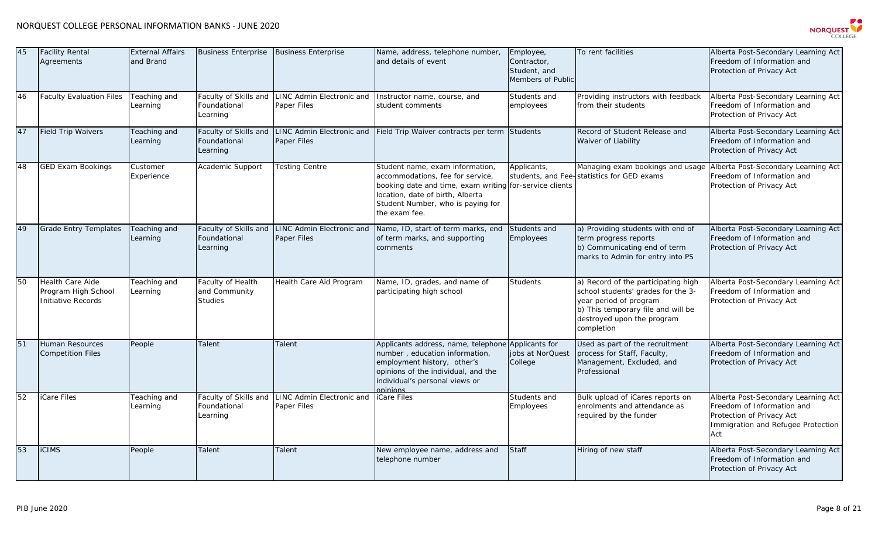

| 45 | <b>Facility Rental</b><br>Agreements                          | <b>External Affairs</b><br>and Brand | <b>Business Enterprise</b>                           | <b>Business Enterprise</b>                      | Name, address, telephone number,<br>and details of event                                                                                                                                                                 | Employee,<br>Contractor,<br>Student, and<br>Members of Public | To rent facilities                                                                                                                                                                    | Alberta Post-Secondary Learning Act<br>Freedom of Information and<br>Protection of Privacy Act                                              |
|----|---------------------------------------------------------------|--------------------------------------|------------------------------------------------------|-------------------------------------------------|--------------------------------------------------------------------------------------------------------------------------------------------------------------------------------------------------------------------------|---------------------------------------------------------------|---------------------------------------------------------------------------------------------------------------------------------------------------------------------------------------|---------------------------------------------------------------------------------------------------------------------------------------------|
| 46 | <b>Faculty Evaluation Files</b>                               | Teaching and<br>Learning             | Faculty of Skills and<br>Foundational<br>Learning    | <b>LINC Admin Electronic and</b><br>Paper Files | Instructor name, course, and<br>student comments                                                                                                                                                                         | Students and<br>employees                                     | Providing instructors with feedback<br>from their students                                                                                                                            | Alberta Post-Secondary Learning Act<br>Freedom of Information and<br>Protection of Privacy Act                                              |
| 47 | <b>Field Trip Waivers</b>                                     | Teaching and<br>Learning             | Faculty of Skills and<br>Foundational<br>Learning    | <b>LINC Admin Electronic and</b><br>Paper Files | Field Trip Waiver contracts per term                                                                                                                                                                                     | Students                                                      | Record of Student Release and<br>Waiver of Liability                                                                                                                                  | Alberta Post-Secondary Learning Act<br>Freedom of Information and<br>Protection of Privacy Act                                              |
| 48 | <b>GED Exam Bookings</b>                                      | Customer<br>Experience               | Academic Support                                     | <b>Testing Centre</b>                           | Student name, exam information,<br>accommodations, fee for service,<br>booking date and time, exam writing for-service clients<br>location, date of birth, Alberta<br>Student Number, who is paying for<br>the exam fee. | Applicants,                                                   | Managing exam bookings and usage<br>students, and Fee-statistics for GED exams                                                                                                        | Alberta Post-Secondary Learning Act<br>Freedom of Information and<br>Protection of Privacy Act                                              |
| 49 | <b>Grade Entry Templates</b>                                  | Teaching and<br>Learning             | Faculty of Skills and<br>Foundational<br>Learning    | <b>LINC Admin Electronic and</b><br>Paper Files | Name, ID, start of term marks, end<br>of term marks, and supporting<br>comments                                                                                                                                          | Students and<br>Employees                                     | a) Providing students with end of<br>term progress reports<br>b) Communicating end of term<br>marks to Admin for entry into PS                                                        | Alberta Post-Secondary Learning Act<br>Freedom of Information and<br>Protection of Privacy Act                                              |
| 50 | Health Care Aide<br>Program High School<br>Initiative Records | Teaching and<br>Learning             | Faculty of Health<br>and Community<br><b>Studies</b> | Health Care Aid Program                         | Name, ID, grades, and name of<br>participating high school                                                                                                                                                               | Students                                                      | a) Record of the participating high<br>school students' grades for the 3-<br>year period of program<br>b) This temporary file and will be<br>destroyed upon the program<br>completion | Alberta Post-Secondary Learning Act<br>Freedom of Information and<br>Protection of Privacy Act                                              |
| 51 | Human Resources<br><b>Competition Files</b>                   | People                               | Talent                                               | Talent                                          | Applicants address, name, telephone<br>number, education information,<br>employment history, other's<br>opinions of the individual, and the<br>individual's personal views or<br><b>pointing</b>                         | Applicants for<br>jobs at NorQuest<br>College                 | Used as part of the recruitment<br>process for Staff, Faculty,<br>Management, Excluded, and<br>Professional                                                                           | Alberta Post-Secondary Learning Act<br>Freedom of Information and<br>Protection of Privacy Act                                              |
| 52 | Care Files                                                    | Teaching and<br>Learning             | Faculty of Skills and<br>Foundational<br>Learning    | LINC Admin Electronic and<br>Paper Files        | <b>iCare Files</b>                                                                                                                                                                                                       | Students and<br>Employees                                     | Bulk upload of iCares reports on<br>enrolments and attendance as<br>required by the funder                                                                                            | Alberta Post-Secondary Learning Act<br>Freedom of Information and<br>Protection of Privacy Act<br>Immigration and Refugee Protection<br>Act |
| 53 | <b>CIMS</b>                                                   | People                               | Talent                                               | Talent                                          | New employee name, address and<br>telephone number                                                                                                                                                                       | Staff                                                         | Hiring of new staff                                                                                                                                                                   | Alberta Post-Secondary Learning Act<br>Freedom of Information and<br>Protection of Privacy Act                                              |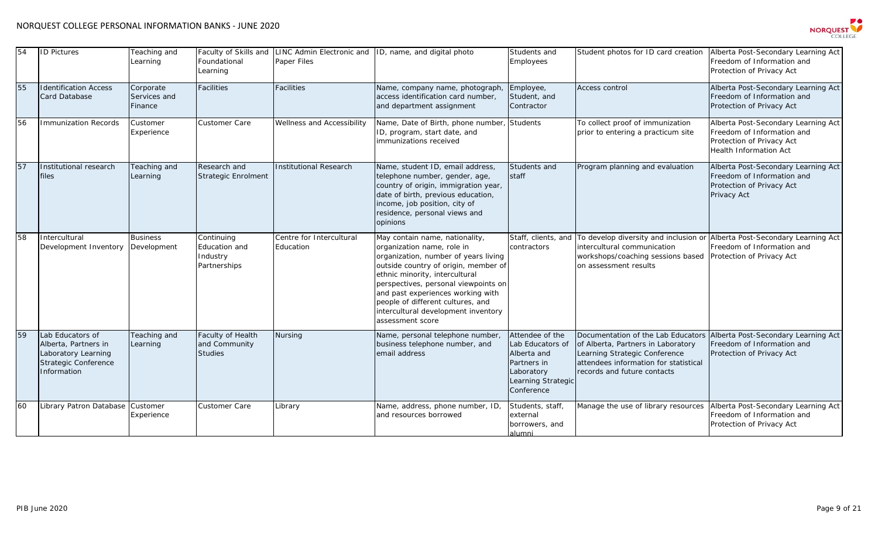

| 54 | <b>ID Pictures</b>                                                                                            | Teaching and<br>Learning             | Faculty of Skills and<br>Foundational<br>Learning       | Paper Files                           | LINC Admin Electronic and ID, name, and digital photo                                                                                                                                                                                                                                                                                                       | Students and<br>Employees                                                                                           | Student photos for ID card creation                                                                                                                                               | Alberta Post-Secondary Learning Act<br>Freedom of Information and<br>Protection of Privacy Act                                  |
|----|---------------------------------------------------------------------------------------------------------------|--------------------------------------|---------------------------------------------------------|---------------------------------------|-------------------------------------------------------------------------------------------------------------------------------------------------------------------------------------------------------------------------------------------------------------------------------------------------------------------------------------------------------------|---------------------------------------------------------------------------------------------------------------------|-----------------------------------------------------------------------------------------------------------------------------------------------------------------------------------|---------------------------------------------------------------------------------------------------------------------------------|
| 55 | <b>Identification Access</b><br><b>Card Database</b>                                                          | Corporate<br>Services and<br>Finance | <b>Facilities</b>                                       | <b>Facilities</b>                     | Name, company name, photograph<br>access identification card number,<br>and department assignment                                                                                                                                                                                                                                                           | Employee,<br>Student, and<br>Contractor                                                                             | <b>Access control</b>                                                                                                                                                             | Alberta Post-Secondary Learning Act<br>Freedom of Information and<br>Protection of Privacy Act                                  |
| 56 | <b>Immunization Records</b>                                                                                   | Customer<br>Experience               | <b>Customer Care</b>                                    | Wellness and Accessibility            | Name, Date of Birth, phone number<br>ID, program, start date, and<br>immunizations received                                                                                                                                                                                                                                                                 | <b>Students</b>                                                                                                     | To collect proof of immunization<br>prior to entering a practicum site                                                                                                            | Alberta Post-Secondary Learning Act<br>Freedom of Information and<br>Protection of Privacy Act<br><b>Health Information Act</b> |
| 57 | Institutional research<br>files                                                                               | Teaching and<br>Learning             | Research and<br>Strategic Enrolment                     | <b>Institutional Research</b>         | Name, student ID, email address,<br>telephone number, gender, age,<br>country of origin, immigration year,<br>date of birth, previous education,<br>income, job position, city of<br>residence, personal views and<br>opinions                                                                                                                              | Students and<br>staff                                                                                               | Program planning and evaluation                                                                                                                                                   | Alberta Post-Secondary Learning Act<br>Freedom of Information and<br>Protection of Privacy Act<br>Privacy Act                   |
| 58 | Intercultural<br>Development Inventory                                                                        | <b>Business</b><br>Development       | Continuing<br>Education and<br>Industry<br>Partnerships | Centre for Intercultural<br>Education | May contain name, nationality,<br>organization name, role in<br>organization, number of years living<br>outside country of origin, member of<br>ethnic minority, intercultural<br>perspectives, personal viewpoints on<br>and past experiences working with<br>people of different cultures, and<br>intercultural development inventory<br>assessment score | Staff, clients, and<br>contractors                                                                                  | To develop diversity and inclusion or Alberta Post-Secondary Learning Act<br>intercultural communication<br>workshops/coaching sessions based<br>on assessment results            | Freedom of Information and<br>Protection of Privacy Act                                                                         |
| 59 | Lab Educators of<br>Alberta, Partners in<br>Laboratory Learning<br><b>Strategic Conference</b><br>Information | Teaching and<br>Learning             | Faculty of Health<br>and Community<br><b>Studies</b>    | Nursing                               | Name, personal telephone number,<br>business telephone number, and<br>email address                                                                                                                                                                                                                                                                         | Attendee of the<br>Lab Educators of<br>Alberta and<br>Partners in<br>Laboratory<br>Learning Strategic<br>Conference | Documentation of the Lab Educators<br>of Alberta, Partners in Laboratory<br>Learning Strategic Conference<br>attendees information for statistical<br>records and future contacts | Alberta Post-Secondary Learning Act<br>Freedom of Information and<br>Protection of Privacy Act                                  |
| 60 | Library Patron Database                                                                                       | Customer<br>Experience               | Customer Care                                           | ∟ibrary                               | Name, address, phone number, ID,<br>and resources borrowed                                                                                                                                                                                                                                                                                                  | Students, staff,<br>external<br>borrowers, and<br>alumni                                                            | Manage the use of library resources                                                                                                                                               | Alberta Post-Secondary Learning Act<br>Freedom of Information and<br>Protection of Privacy Act                                  |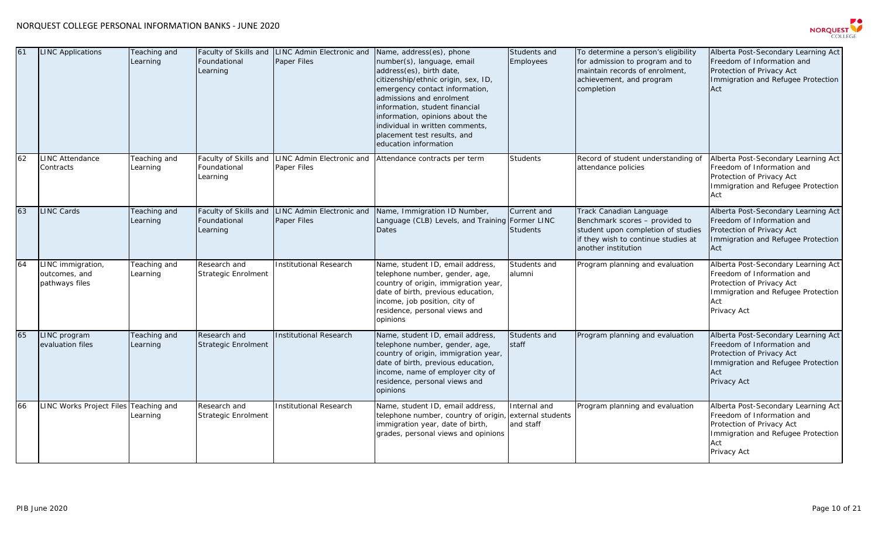

| 61 | <b>INC Applications</b>                              | Teaching and<br>Learning | Foundational<br>Learning                          | Faculty of Skills and LINC Admin Electronic and<br><b>Paper Files</b> | Name, address(es), phone<br>number(s), language, email<br>address(es), birth date,<br>citizenship/ethnic origin, sex, ID,<br>emergency contact information,<br>admissions and enrolment<br>information, student financial<br>information, opinions about the<br>individual in written comments,<br>placement test results, and<br>education information | Students and<br>Employees                      | To determine a person's eligibility<br>for admission to program and to<br>maintain records of enrolment,<br>achievement, and program<br>completion            | Alberta Post-Secondary Learning Act<br>Freedom of Information and<br>Protection of Privacy Act<br>Immigration and Refugee Protection<br>Act                |
|----|------------------------------------------------------|--------------------------|---------------------------------------------------|-----------------------------------------------------------------------|---------------------------------------------------------------------------------------------------------------------------------------------------------------------------------------------------------------------------------------------------------------------------------------------------------------------------------------------------------|------------------------------------------------|---------------------------------------------------------------------------------------------------------------------------------------------------------------|------------------------------------------------------------------------------------------------------------------------------------------------------------|
| 62 | LINC Attendance<br>Contracts                         | Teaching and<br>Learning | Faculty of Skills and<br>Foundational<br>Learning | LINC Admin Electronic and<br>Paper Files                              | Attendance contracts per term                                                                                                                                                                                                                                                                                                                           | <b>Students</b>                                | Record of student understanding of<br>attendance policies                                                                                                     | Alberta Post-Secondary Learning Act<br>Freedom of Information and<br>Protection of Privacy Act<br>Immigration and Refugee Protection<br>Act                |
| 63 | LINC Cards                                           | Teaching and<br>Learning | Faculty of Skills and<br>Foundational<br>Learning | LINC Admin Electronic and<br>Paper Files                              | Name, Immigration ID Number,<br>Language (CLB) Levels, and Training Former LINC<br>Dates                                                                                                                                                                                                                                                                | Current and<br><b>Students</b>                 | Track Canadian Language<br>Benchmark scores - provided to<br>student upon completion of studies<br>if they wish to continue studies at<br>another institution | Alberta Post-Secondary Learning Act<br>Freedom of Information and<br>Protection of Privacy Act<br>Immigration and Refugee Protection<br>Act                |
| 64 | .INC immigration,<br>outcomes, and<br>pathways files | Teaching and<br>Learning | Research and<br><b>Strategic Enrolment</b>        | Institutional Research                                                | Name, student ID, email address,<br>telephone number, gender, age,<br>country of origin, immigration year,<br>date of birth, previous education,<br>income, job position, city of<br>residence, personal views and<br>opinions                                                                                                                          | Students and<br>alumni                         | Program planning and evaluation                                                                                                                               | Alberta Post-Secondary Learning Act<br>Freedom of Information and<br>Protection of Privacy Act<br>Immigration and Refugee Protection<br>Act<br>Privacy Act |
| 65 | LINC program<br>evaluation files                     | Teaching and<br>Learning | Research and<br><b>Strategic Enrolment</b>        | <b>Institutional Research</b>                                         | Name, student ID, email address,<br>telephone number, gender, age,<br>country of origin, immigration year,<br>date of birth, previous education,<br>income, name of employer city of<br>residence, personal views and<br>opinions                                                                                                                       | Students and<br>staff                          | Program planning and evaluation                                                                                                                               | Alberta Post-Secondary Learning Act<br>Freedom of Information and<br>Protection of Privacy Act<br>Immigration and Refugee Protection<br>Act<br>Privacy Act |
| 66 | INC Works Project Files Teaching and                 | Learning                 | Research and<br><b>Strategic Enrolment</b>        | <b>Institutional Research</b>                                         | Name, student ID, email address,<br>telephone number, country of origin,<br>immigration year, date of birth,<br>grades, personal views and opinions                                                                                                                                                                                                     | Internal and<br>external students<br>and staff | Program planning and evaluation                                                                                                                               | Alberta Post-Secondary Learning Act<br>Freedom of Information and<br>Protection of Privacy Act<br>Immigration and Refugee Protection<br>Act<br>Privacy Act |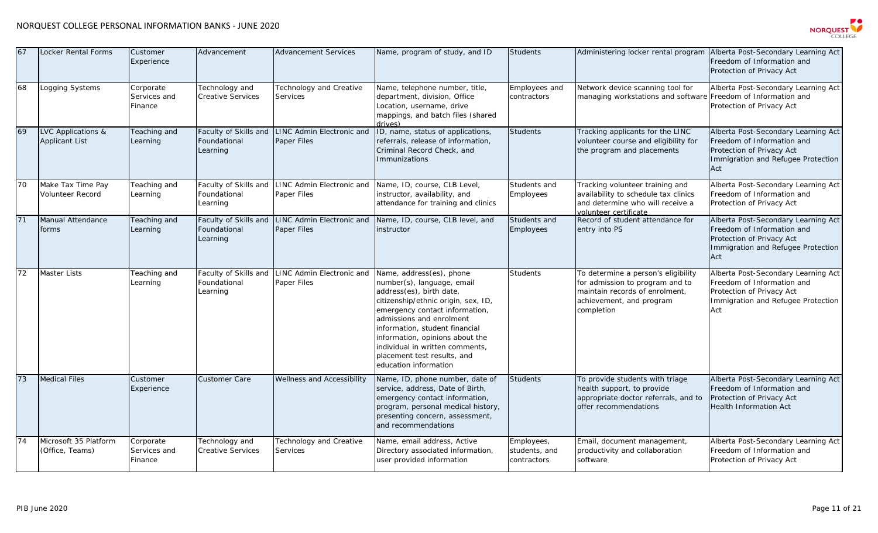

| 67 | <b>Locker Rental Forms</b>                             | Customer<br>Experience               | Advancement                                       | <b>Advancement Services</b>                | Name, program of study, and ID                                                                                                                                                                                                                                                                                                                          | <b>Students</b>                            | Administering locker rental program Alberta Post-Secondary Learning Act                                                                            | Freedom of Information and<br>Protection of Privacy Act                                                                                     |
|----|--------------------------------------------------------|--------------------------------------|---------------------------------------------------|--------------------------------------------|---------------------------------------------------------------------------------------------------------------------------------------------------------------------------------------------------------------------------------------------------------------------------------------------------------------------------------------------------------|--------------------------------------------|----------------------------------------------------------------------------------------------------------------------------------------------------|---------------------------------------------------------------------------------------------------------------------------------------------|
| 68 | Logging Systems                                        | Corporate<br>Services and<br>Finance | Technology and<br><b>Creative Services</b>        | Technology and Creative<br><b>Services</b> | Name, telephone number, title,<br>department, division, Office<br>Location, username, drive<br>mappings, and batch files (shared<br><i>(zevi</i> nh                                                                                                                                                                                                     | Employees and<br>contractors               | Network device scanning tool for<br>managing workstations and software Freedom of Information and                                                  | Alberta Post-Secondary Learning Act<br>Protection of Privacy Act                                                                            |
| 69 | <b>LVC Applications &amp;</b><br><b>Applicant List</b> | Teaching and<br>Learning             | Faculty of Skills and<br>Foundational<br>Learning | LINC Admin Electronic and<br>Paper Files   | ID, name, status of applications,<br>referrals, release of information,<br>Criminal Record Check, and<br><b>Immunizations</b>                                                                                                                                                                                                                           | <b>Students</b>                            | Tracking applicants for the LINC<br>volunteer course and eligibility for<br>the program and placements                                             | Alberta Post-Secondary Learning Act<br>Freedom of Information and<br>Protection of Privacy Act<br>Immigration and Refugee Protection<br>Act |
| 70 | Make Tax Time Pay<br>Volunteer Record                  | Teaching and<br>Learning             | Faculty of Skills and<br>Foundational<br>Learning | LINC Admin Electronic and<br>Paper Files   | Name, ID, course, CLB Level,<br>instructor, availability, and<br>attendance for training and clinics                                                                                                                                                                                                                                                    | Students and<br>Employees                  | Tracking volunteer training and<br>availability to schedule tax clinics<br>and determine who will receive a<br>volunteer certificate               | Alberta Post-Secondary Learning Act<br>Freedom of Information and<br>Protection of Privacy Act                                              |
| 71 | Manual Attendance<br>forms                             | Teaching and<br>Learning             | Faculty of Skills and<br>Foundational<br>Learning | LINC Admin Electronic and<br>Paper Files   | Name, ID, course, CLB level, and<br>instructor                                                                                                                                                                                                                                                                                                          | Students and<br>Employees                  | Record of student attendance for<br>entry into PS                                                                                                  | Alberta Post-Secondary Learning Act<br>Freedom of Information and<br>Protection of Privacy Act<br>Immigration and Refugee Protection<br>Act |
| 72 | <b>Master Lists</b>                                    | Teaching and<br>Learning             | Faculty of Skills and<br>Foundational<br>Learning | LINC Admin Electronic and<br>Paper Files   | Name, address(es), phone<br>number(s), language, email<br>address(es), birth date,<br>citizenship/ethnic origin, sex, ID,<br>emergency contact information,<br>admissions and enrolment<br>information, student financial<br>information, opinions about the<br>individual in written comments,<br>placement test results, and<br>education information | Students                                   | To determine a person's eligibility<br>for admission to program and to<br>maintain records of enrolment,<br>achievement, and program<br>completion | Alberta Post-Secondary Learning Act<br>Freedom of Information and<br>Protection of Privacy Act<br>Immigration and Refugee Protection<br>Act |
| 73 | <b>Medical Files</b>                                   | Customer<br>Experience               | <b>Customer Care</b>                              | Wellness and Accessibility                 | Name, ID, phone number, date of<br>service, address, Date of Birth,<br>emergency contact information,<br>program, personal medical history,<br>presenting concern, assessment,<br>and recommendations                                                                                                                                                   | <b>Students</b>                            | To provide students with triage<br>health support, to provide<br>appropriate doctor referrals, and to<br>offer recommendations                     | Alberta Post-Secondary Learning Act<br>Freedom of Information and<br>Protection of Privacy Act<br><b>Health Information Act</b>             |
| 74 | Microsoft 35 Platform<br>(Office, Teams)               | Corporate<br>Services and<br>Finance | Technology and<br><b>Creative Services</b>        | Technology and Creative<br><b>Services</b> | Name, email address, Active<br>Directory associated information,<br>user provided information                                                                                                                                                                                                                                                           | Employees,<br>students, and<br>contractors | Email, document management,<br>productivity and collaboration<br>software                                                                          | Alberta Post-Secondary Learning Act<br>Freedom of Information and<br>Protection of Privacy Act                                              |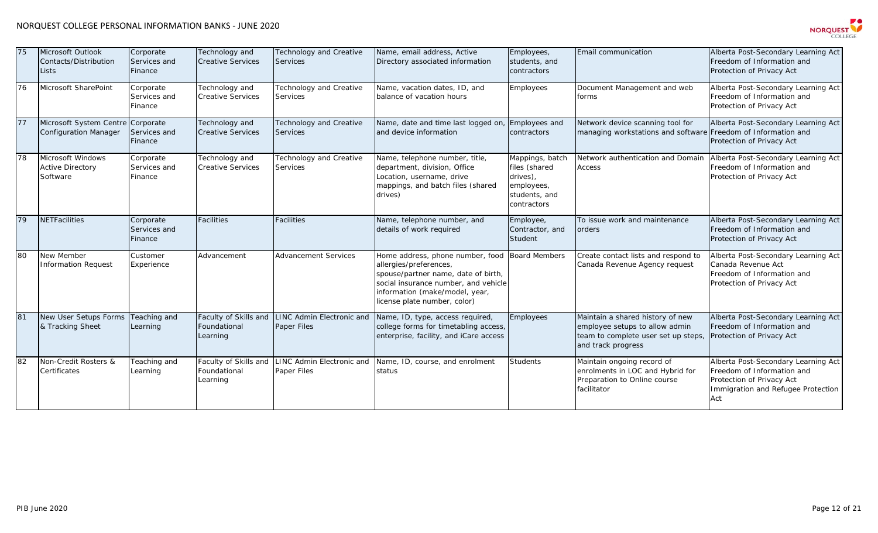

| 75 | Microsoft Outlook<br>Contacts/Distribution<br>Lists               | Corporate<br>Services and<br>Finance | Technology and<br><b>Creative Services</b>        | Technology and Creative<br><b>Services</b>     | Name, email address, Active<br>Directory associated information                                                                                                                                             | Employees,<br>students, and<br>contractors                                                 | Email communication                                                                                                             | Alberta Post-Secondary Learning Act<br>Freedom of Information and<br>Protection of Privacy Act                                              |
|----|-------------------------------------------------------------------|--------------------------------------|---------------------------------------------------|------------------------------------------------|-------------------------------------------------------------------------------------------------------------------------------------------------------------------------------------------------------------|--------------------------------------------------------------------------------------------|---------------------------------------------------------------------------------------------------------------------------------|---------------------------------------------------------------------------------------------------------------------------------------------|
| 76 | Microsoft SharePoint                                              | Corporate<br>Services and<br>Finance | Technology and<br><b>Creative Services</b>        | Technology and Creative<br>Services            | Name, vacation dates, ID, and<br>balance of vacation hours                                                                                                                                                  | Employees                                                                                  | Document Management and web<br>forms                                                                                            | Alberta Post-Secondary Learning Act<br>Freedom of Information and<br>Protection of Privacy Act                                              |
| 77 | Microsoft System Centre Corporate<br><b>Configuration Manager</b> | Services and<br>Finance              | Technology and<br><b>Creative Services</b>        | Technology and Creative<br><b>Services</b>     | Name, date and time last logged on<br>and device information                                                                                                                                                | Employees and<br>contractors                                                               | Network device scanning tool for<br>managing workstations and software                                                          | Alberta Post-Secondary Learning Act<br>Freedom of Information and<br>Protection of Privacy Act                                              |
| 78 | Microsoft Windows<br><b>Active Directory</b><br>Software          | Corporate<br>Services and<br>Finance | Technology and<br><b>Creative Services</b>        | Technology and Creative<br><b>Services</b>     | Name, telephone number, title,<br>department, division, Office<br>Location, username, drive<br>mappings, and batch files (shared<br>drives)                                                                 | Mappings, batch<br>files (shared<br>drives),<br>employees,<br>students, and<br>contractors | Network authentication and Domain<br><b>Access</b>                                                                              | Alberta Post-Secondary Learning Act<br>Freedom of Information and<br>Protection of Privacy Act                                              |
| 79 | <b>NETFacilities</b>                                              | Corporate<br>Services and<br>Finance | <b>Facilities</b>                                 | <b>Facilities</b>                              | Name, telephone number, and<br>details of work required                                                                                                                                                     | Employee,<br>Contractor, and<br>Student                                                    | To issue work and maintenance<br>orders                                                                                         | Alberta Post-Secondary Learning Act<br>Freedom of Information and<br>Protection of Privacy Act                                              |
| 80 | New Member<br><b>Information Request</b>                          | Customer<br>Experience               | Advancement                                       | <b>Advancement Services</b>                    | Home address, phone number, food<br>allergies/preferences,<br>spouse/partner name, date of birth,<br>social insurance number, and vehicle<br>information (make/model, year,<br>license plate number, color) | <b>Board Members</b>                                                                       | Create contact lists and respond to<br>Canada Revenue Agency request                                                            | Alberta Post-Secondary Learning Act<br>Canada Revenue Act<br>Freedom of Information and<br>Protection of Privacy Act                        |
| 81 | New User Setups Forms<br>& Tracking Sheet                         | Teaching and<br>Learning             | Faculty of Skills and<br>Foundational<br>Learning | <b>INC Admin Electronic and</b><br>Paper Files | Name, ID, type, access required,<br>college forms for timetabling access,<br>enterprise, facility, and iCare access                                                                                         | <b>Employees</b>                                                                           | Maintain a shared history of new<br>employee setups to allow admin<br>team to complete user set up steps,<br>and track progress | Alberta Post-Secondary Learning Act<br>Freedom of Information and<br>Protection of Privacy Act                                              |
| 82 | Non-Credit Rosters &<br>Certificates                              | Teaching and<br>Learning             | Faculty of Skills and<br>Foundational<br>Learning | LINC Admin Electronic and<br>Paper Files       | Name, ID, course, and enrolment<br>status                                                                                                                                                                   | <b>Students</b>                                                                            | Maintain ongoing record of<br>enrolments in LOC and Hybrid for<br>Preparation to Online course<br>facilitator                   | Alberta Post-Secondary Learning Act<br>Freedom of Information and<br>Protection of Privacy Act<br>Immigration and Refugee Protection<br>Act |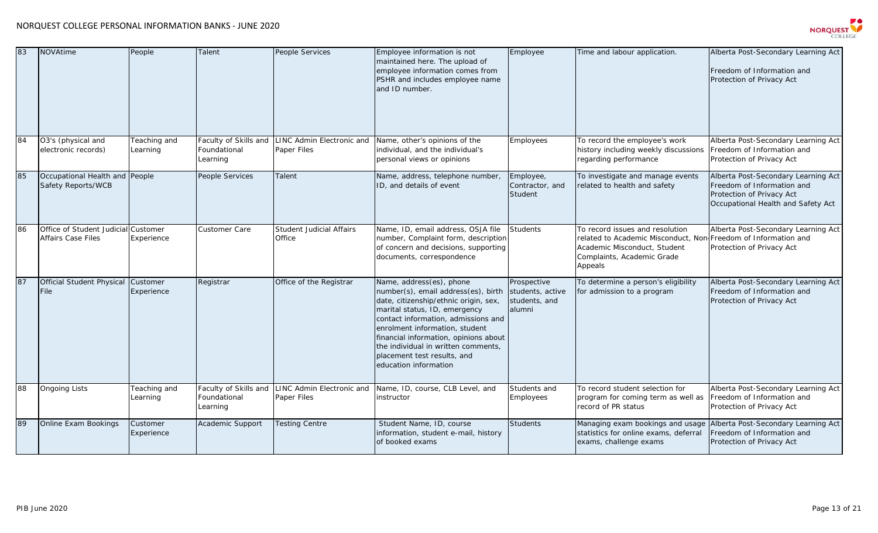

| 83 | <b>NOVAtime</b>                                                  | People                   | Talent                                            | People Services                           | Employee information is not<br>maintained here. The upload of<br>employee information comes from<br>PSHR and includes employee name<br>and ID number.                                                                                                                                                                                                      | Employee                                                   | Time and labour application.                                                                                                                                               | Alberta Post-Secondary Learning Act<br>Freedom of Information and<br>Protection of Privacy Act                                       |
|----|------------------------------------------------------------------|--------------------------|---------------------------------------------------|-------------------------------------------|------------------------------------------------------------------------------------------------------------------------------------------------------------------------------------------------------------------------------------------------------------------------------------------------------------------------------------------------------------|------------------------------------------------------------|----------------------------------------------------------------------------------------------------------------------------------------------------------------------------|--------------------------------------------------------------------------------------------------------------------------------------|
| 84 | O3's (physical and<br>electronic records)                        | Teaching and<br>Learning | Faculty of Skills and<br>Foundational<br>Learning | LINC Admin Electronic and<br>Paper Files  | Name, other's opinions of the<br>individual, and the individual's<br>personal views or opinions                                                                                                                                                                                                                                                            | Employees                                                  | To record the employee's work<br>history including weekly discussions<br>regarding performance                                                                             | Alberta Post-Secondary Learning Act<br>Freedom of Information and<br>Protection of Privacy Act                                       |
| 85 | Occupational Health and People<br>Safety Reports/WCB             |                          | <b>People Services</b>                            | Talent                                    | Name, address, telephone number,<br>ID, and details of event                                                                                                                                                                                                                                                                                               | Employee,<br>Contractor, and<br>Student                    | To investigate and manage events<br>related to health and safety                                                                                                           | Alberta Post-Secondary Learning Act<br>Freedom of Information and<br>Protection of Privacy Act<br>Occupational Health and Safety Act |
| 86 | Office of Student Judicial Customer<br><b>Affairs Case Files</b> | Experience               | Customer Care                                     | <b>Student Judicial Affairs</b><br>Office | Name, ID, email address, OSJA file<br>number, Complaint form, description<br>of concern and decisions, supporting<br>documents, correspondence                                                                                                                                                                                                             | Students                                                   | To record issues and resolution<br>related to Academic Misconduct, Non Freedom of Information and<br>Academic Misconduct, Student<br>Complaints, Academic Grade<br>Appeals | Alberta Post-Secondary Learning Act<br>Protection of Privacy Act                                                                     |
| 87 | <b>Official Student Physical</b><br>File                         | Customer<br>Experience   | Registrar                                         | Office of the Registrar                   | Name, address(es), phone<br>number(s), email address(es), birth<br>date, citizenship/ethnic origin, sex,<br>marital status, ID, emergency<br>contact information, admissions and<br>enrolment information, student<br>financial information, opinions about<br>the individual in written comments,<br>placement test results, and<br>education information | Prospective<br>students, active<br>students, and<br>alumni | To determine a person's eligibility<br>for admission to a program                                                                                                          | Alberta Post-Secondary Learning Act<br>Freedom of Information and<br>Protection of Privacy Act                                       |
| 88 | <b>Ongoing Lists</b>                                             | Teaching and<br>Learning | Faculty of Skills and<br>Foundational<br>Learning | LINC Admin Electronic and<br>Paper Files  | Name, ID, course, CLB Level, and<br>instructor                                                                                                                                                                                                                                                                                                             | Students and<br>Employees                                  | To record student selection for<br>program for coming term as well as<br>record of PR status                                                                               | Alberta Post-Secondary Learning Act<br>Freedom of Information and<br>Protection of Privacy Act                                       |
| 89 | Online Exam Bookings                                             | Customer<br>Experience   | Academic Support                                  | Testing Centre                            | Student Name, ID, course<br>information, student e-mail, history<br>of booked exams                                                                                                                                                                                                                                                                        | <b>Students</b>                                            | Managing exam bookings and usage<br>statistics for online exams, deferral<br>exams, challenge exams                                                                        | Alberta Post-Secondary Learning Act<br>Freedom of Information and<br>Protection of Privacy Act                                       |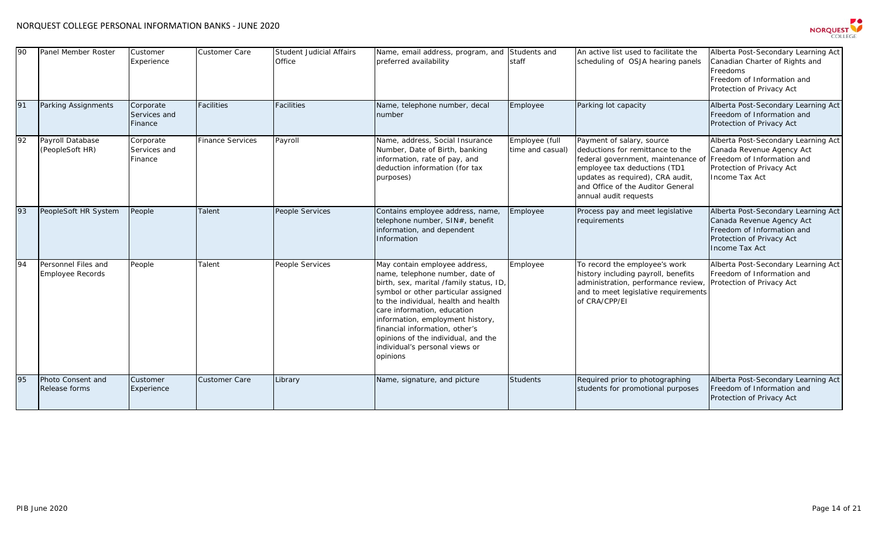

| 90 | Panel Member Roster                     | Customer<br>Experience               | Customer Care           | <b>Student Judicial Affairs</b><br>Office | Name, email address, program, and<br>preferred availability                                                                                                                                                                                                                                                                                                                          | Students and<br>staff              | An active list used to facilitate the<br>scheduling of OSJA hearing panels                                                                                                                                                            | Alberta Post-Secondary Learning Act<br>Canadian Charter of Rights and<br>Freedoms<br>Freedom of Information and<br>Protection of Privacy Act  |
|----|-----------------------------------------|--------------------------------------|-------------------------|-------------------------------------------|--------------------------------------------------------------------------------------------------------------------------------------------------------------------------------------------------------------------------------------------------------------------------------------------------------------------------------------------------------------------------------------|------------------------------------|---------------------------------------------------------------------------------------------------------------------------------------------------------------------------------------------------------------------------------------|-----------------------------------------------------------------------------------------------------------------------------------------------|
| 91 | Parking Assignments                     | Corporate<br>Services and<br>Finance | <b>Facilities</b>       | Facilities                                | Name, telephone number, decal<br>number                                                                                                                                                                                                                                                                                                                                              | Employee                           | Parking lot capacity                                                                                                                                                                                                                  | Alberta Post-Secondary Learning Act<br>Freedom of Information and<br>Protection of Privacy Act                                                |
| 92 | Payroll Database<br>(PeopleSoft HR)     | Corporate<br>Services and<br>Finance | <b>Finance Services</b> | Payroll                                   | Name, address, Social Insurance<br>Number, Date of Birth, banking<br>information, rate of pay, and<br>deduction information (for tax<br>purposes)                                                                                                                                                                                                                                    | Employee (full<br>time and casual) | Payment of salary, source<br>deductions for remittance to the<br>federal government, maintenance of<br>employee tax deductions (TD1<br>updates as required), CRA audit,<br>and Office of the Auditor General<br>annual audit requests | Alberta Post-Secondary Learning Act<br>Canada Revenue Agency Act<br>Freedom of Information and<br>Protection of Privacy Act<br>Income Tax Act |
| 93 | PeopleSoft HR System                    | People                               | Talent                  | People Services                           | Contains employee address, name,<br>telephone number, SIN#, benefit<br>information, and dependent<br>Information                                                                                                                                                                                                                                                                     | Employee                           | Process pay and meet legislative<br>requirements                                                                                                                                                                                      | Alberta Post-Secondary Learning Act<br>Canada Revenue Agency Act<br>Freedom of Information and<br>Protection of Privacy Act<br>Income Tax Act |
| 94 | Personnel Files and<br>Employee Records | People                               | Talent                  | People Services                           | May contain employee address,<br>name, telephone number, date of<br>birth, sex, marital /family status, ID,<br>symbol or other particular assigned<br>to the individual, health and health<br>care information, education<br>information, employment history,<br>financial information, other's<br>opinions of the individual, and the<br>individual's personal views or<br>opinions | Employee                           | To record the employee's work<br>history including payroll, benefits<br>administration, performance review<br>and to meet legislative requirements<br>of CRA/CPP/EI                                                                   | Alberta Post-Secondary Learning Act<br>Freedom of Information and<br>Protection of Privacy Act                                                |
| 95 | Photo Consent and<br>Release forms      | Customer<br>Experience               | <b>Customer Care</b>    | Library                                   | Name, signature, and picture                                                                                                                                                                                                                                                                                                                                                         | <b>Students</b>                    | Required prior to photographing<br>students for promotional purposes                                                                                                                                                                  | Alberta Post-Secondary Learning Act<br>Freedom of Information and<br>Protection of Privacy Act                                                |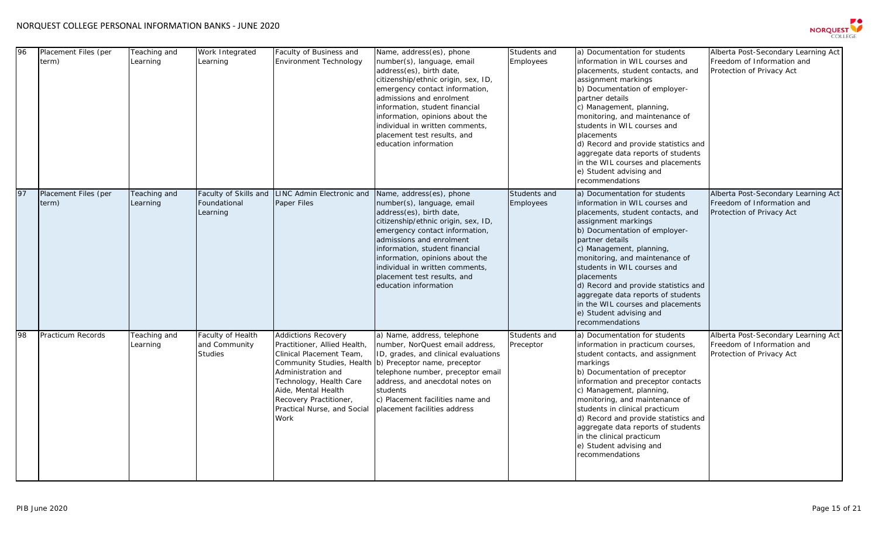

| 96 | Placement Files (per<br>term) | Teaching and<br>Learning | Work Integrated<br>Learning                          | Faculty of Business and<br><b>Environment Technology</b>                                                                                                                                                                                                     | Name, address(es), phone<br>number(s), language, email<br>address(es), birth date,<br>citizenship/ethnic origin, sex, ID,<br>emergency contact information,<br>admissions and enrolment<br>information, student financial<br>information, opinions about the<br>individual in written comments,<br>placement test results, and<br>education information | Students and<br>Employees | a) Documentation for students<br>information in WIL courses and<br>placements, student contacts, and<br>assignment markings<br>b) Documentation of employer-<br>partner details<br>c) Management, planning,<br>monitoring, and maintenance of<br>students in WIL courses and<br>placements<br>d) Record and provide statistics and<br>aggregate data reports of students<br>in the WIL courses and placements<br>e) Student advising and<br>recommendations | Alberta Post-Secondary Learning Act<br>Freedom of Information and<br>Protection of Privacy Act |
|----|-------------------------------|--------------------------|------------------------------------------------------|--------------------------------------------------------------------------------------------------------------------------------------------------------------------------------------------------------------------------------------------------------------|---------------------------------------------------------------------------------------------------------------------------------------------------------------------------------------------------------------------------------------------------------------------------------------------------------------------------------------------------------|---------------------------|-------------------------------------------------------------------------------------------------------------------------------------------------------------------------------------------------------------------------------------------------------------------------------------------------------------------------------------------------------------------------------------------------------------------------------------------------------------|------------------------------------------------------------------------------------------------|
| 97 | Placement Files (per<br>term) | Teaching and<br>Learning | Faculty of Skills and<br>Foundational<br>Learning    | LINC Admin Electronic and<br>Paper Files                                                                                                                                                                                                                     | Name, address(es), phone<br>number(s), language, email<br>address(es), birth date,<br>citizenship/ethnic origin, sex, ID,<br>emergency contact information,<br>admissions and enrolment<br>information, student financial<br>information, opinions about the<br>individual in written comments,<br>placement test results, and<br>education information | Students and<br>Employees | a) Documentation for students<br>information in WIL courses and<br>placements, student contacts, and<br>assignment markings<br>b) Documentation of employer-<br>partner details<br>c) Management, planning,<br>monitoring, and maintenance of<br>students in WIL courses and<br>placements<br>d) Record and provide statistics and<br>aggregate data reports of students<br>in the WIL courses and placements<br>e) Student advising and<br>recommendations | Alberta Post-Secondary Learning Act<br>Freedom of Information and<br>Protection of Privacy Act |
| 98 | <b>Practicum Records</b>      | Teaching and<br>Learning | Faculty of Health<br>and Community<br><b>Studies</b> | <b>Addictions Recovery</b><br>Practitioner, Allied Health,<br>Clinical Placement Team,<br>Community Studies, Health<br>Administration and<br>Technology, Health Care<br>Aide, Mental Health<br>Recovery Practitioner,<br>Practical Nurse, and Social<br>Work | a) Name, address, telephone<br>number, NorQuest email address,<br>ID, grades, and clinical evaluations<br>b) Preceptor name, preceptor<br>telephone number, preceptor email<br>address, and anecdotal notes on<br>students<br>c) Placement facilities name and<br>placement facilities address                                                          | Students and<br>Preceptor | a) Documentation for students<br>information in practicum courses,<br>student contacts, and assignment<br>markings<br>b) Documentation of preceptor<br>information and preceptor contacts<br>c) Management, planning,<br>monitoring, and maintenance of<br>students in clinical practicum<br>d) Record and provide statistics and<br>aggregate data reports of students<br>in the clinical practicum<br>e) Student advising and<br>recommendations          | Alberta Post-Secondary Learning Act<br>Freedom of Information and<br>Protection of Privacy Act |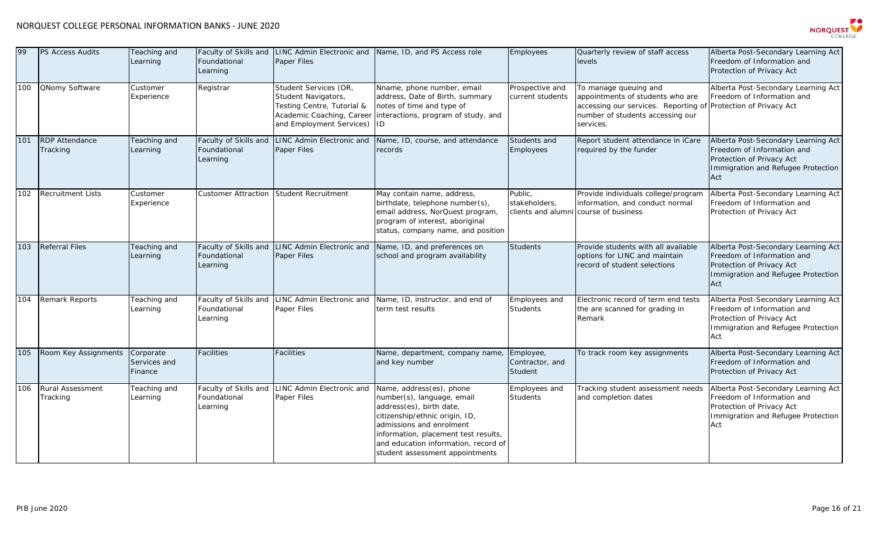

| 99  | PS Access Audits                    | Teaching and<br>Learning             | Faculty of Skills and<br>Foundational<br>Learning | LINC Admin Electronic and<br>Paper Files                                                                                           | Name, ID, and PS Access role                                                                                                                                                                                                                                        | Employees                               | Quarterly review of staff access<br>levels                                                                                                         | Alberta Post-Secondary Learning Act<br>Freedom of Information and<br>Protection of Privacy Act                                              |
|-----|-------------------------------------|--------------------------------------|---------------------------------------------------|------------------------------------------------------------------------------------------------------------------------------------|---------------------------------------------------------------------------------------------------------------------------------------------------------------------------------------------------------------------------------------------------------------------|-----------------------------------------|----------------------------------------------------------------------------------------------------------------------------------------------------|---------------------------------------------------------------------------------------------------------------------------------------------|
| 100 | <b>QNomy Software</b>               | Customer<br>Experience               | Registrar                                         | Student Services (OR,<br>Student Navigators,<br>Testing Centre, Tutorial &<br>Academic Coaching, Caree<br>and Employment Services) | Nname, phone number, email<br>address, Date of Birth, summary<br>notes of time and type of<br>interactions, program of study, and<br>ID                                                                                                                             | Prospective and<br>current students     | To manage queuing and<br>appointments of students who are<br>accessing our services. Reporting of<br>number of students accessing our<br>services. | Alberta Post-Secondary Learning Act<br>Freedom of Information and<br>Protection of Privacy Act                                              |
| 101 | <b>RDP</b> Attendance<br>Tracking   | Teaching and<br>Learning             | Faculty of Skills and<br>Foundational<br>Learning | <b>LINC Admin Electronic and</b><br>Paper Files                                                                                    | Name, ID, course, and attendance<br>records                                                                                                                                                                                                                         | Students and<br>Employees               | Report student attendance in iCare<br>required by the funder                                                                                       | Alberta Post-Secondary Learning Act<br>Freedom of Information and<br>Protection of Privacy Act<br>Immigration and Refugee Protection<br>Act |
| 102 | <b>Recruitment Lists</b>            | Customer<br>Experience               | <b>Customer Attraction</b>                        | <b>Student Recruitment</b>                                                                                                         | May contain name, address,<br>birthdate, telephone number(s),<br>email address, NorQuest program,<br>program of interest, aboriginal<br>status, company name, and position                                                                                          | Public,<br>stakeholders,                | Provide individuals college/program<br>information, and conduct normal<br>clients and alumni course of business                                    | Alberta Post-Secondary Learning Act<br>Freedom of Information and<br>Protection of Privacy Act                                              |
| 103 | <b>Referral Files</b>               | Teaching and<br>Learning             | Faculty of Skills and<br>Foundational<br>Learning | LINC Admin Electronic and<br>Paper Files                                                                                           | Name, ID, and preferences on<br>school and program availability                                                                                                                                                                                                     | Students                                | Provide students with all available<br>options for LINC and maintain<br>record of student selections                                               | Alberta Post-Secondary Learning Act<br>Freedom of Information and<br>Protection of Privacy Act<br>Immigration and Refugee Protection<br>Act |
| 104 | <b>Remark Reports</b>               | Teaching and<br>Learning             | Faculty of Skills and<br>Foundational<br>Learning | LINC Admin Electronic and<br>Paper Files                                                                                           | Name, ID, instructor, and end of<br>term test results                                                                                                                                                                                                               | Employees and<br><b>Students</b>        | Electronic record of term end tests<br>the are scanned for grading in<br>Remark                                                                    | Alberta Post-Secondary Learning Act<br>Freedom of Information and<br>Protection of Privacy Act<br>Immigration and Refugee Protection<br>Act |
| 105 | Room Key Assignments                | Corporate<br>Services and<br>Finance | <b>Facilities</b>                                 | <b>Facilities</b>                                                                                                                  | Name, department, company name,<br>and key number                                                                                                                                                                                                                   | Employee,<br>Contractor, and<br>Student | To track room key assignments                                                                                                                      | Alberta Post-Secondary Learning Act<br>Freedom of Information and<br>Protection of Privacy Act                                              |
| 106 | <b>Rural Assessment</b><br>Tracking | Teaching and<br>Learning             | Faculty of Skills and<br>Foundational<br>Learning | LINC Admin Electronic and<br>Paper Files                                                                                           | Name, address(es), phone<br>number(s), language, email<br>address(es), birth date,<br>citizenship/ethnic origin, ID,<br>admissions and enrolment<br>information, placement test results,<br>and education information, record of<br>student assessment appointments | Employees and<br><b>Students</b>        | Tracking student assessment needs<br>and completion dates                                                                                          | Alberta Post-Secondary Learning Act<br>Freedom of Information and<br>Protection of Privacy Act<br>Immigration and Refugee Protection<br>Act |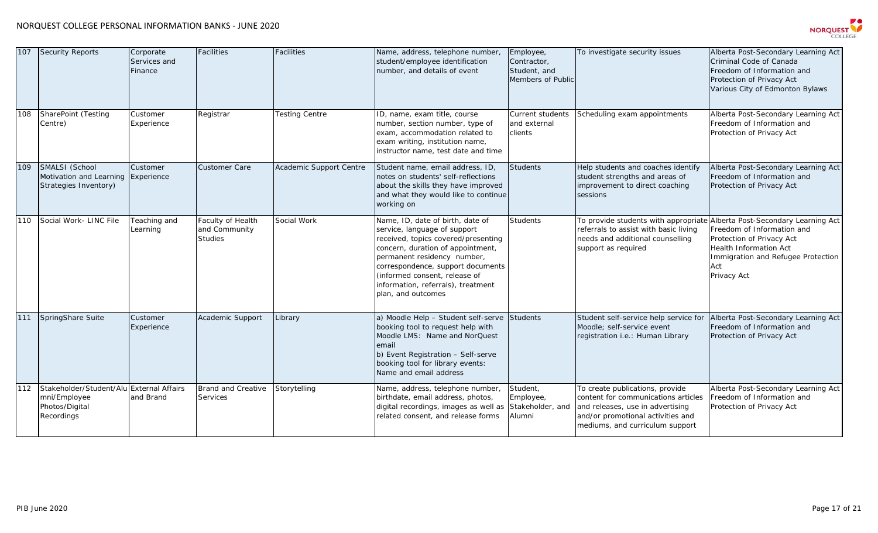

| 107 | <b>Security Reports</b>                                                                  | Corporate<br>Services and<br>Finance | Facilities                                           | <b>Facilities</b>       | Name, address, telephone number,<br>student/employee identification<br>number, and details of event                                                                                                                                                                                                           | Employee,<br>Contractor,<br>Student, and<br>Members of Public | To investigate security issues                                                                                                                                                     | Alberta Post-Secondary Learning Act<br>Criminal Code of Canada<br>Freedom of Information and<br>Protection of Privacy Act<br>Various City of Edmonton Bylaws                         |
|-----|------------------------------------------------------------------------------------------|--------------------------------------|------------------------------------------------------|-------------------------|---------------------------------------------------------------------------------------------------------------------------------------------------------------------------------------------------------------------------------------------------------------------------------------------------------------|---------------------------------------------------------------|------------------------------------------------------------------------------------------------------------------------------------------------------------------------------------|--------------------------------------------------------------------------------------------------------------------------------------------------------------------------------------|
| 108 | SharePoint (Testing<br>Centre)                                                           | Customer<br>Experience               | Registrar                                            | <b>Testing Centre</b>   | ID, name, exam title, course<br>number, section number, type of<br>exam, accommodation related to<br>exam writing, institution name,<br>instructor name, test date and time                                                                                                                                   | Current students<br>and external<br>clients                   | Scheduling exam appointments                                                                                                                                                       | Alberta Post-Secondary Learning Act<br>Freedom of Information and<br>Protection of Privacy Act                                                                                       |
| 109 | SMALSI (School<br>Motivation and Learning Experience<br>Strategies Inventory)            | Customer                             | <b>Customer Care</b>                                 | Academic Support Centre | Student name, email address, ID,<br>notes on students' self-reflections<br>about the skills they have improved<br>and what they would like to continue<br>working on                                                                                                                                          | <b>Students</b>                                               | Help students and coaches identify<br>student strengths and areas of<br>improvement to direct coaching<br>sessions                                                                 | Alberta Post-Secondary Learning Act<br>Freedom of Information and<br>Protection of Privacy Act                                                                                       |
| 110 | Social Work- LINC File                                                                   | Teaching and<br>Learning             | Faculty of Health<br>and Community<br><b>Studies</b> | Social Work             | Name, ID, date of birth, date of<br>service, language of support<br>received, topics covered/presenting<br>concern, duration of appointment,<br>permanent residency number,<br>correspondence, support documents<br>(informed consent, release of<br>information, referrals), treatment<br>plan, and outcomes | <b>Students</b>                                               | To provide students with appropriate<br>referrals to assist with basic living<br>needs and additional counselling<br>support as required                                           | Alberta Post-Secondary Learning Act<br>Freedom of Information and<br>Protection of Privacy Act<br>Health Information Act<br>Immigration and Refugee Protection<br>Act<br>Privacy Act |
| 111 | SpringShare Suite                                                                        | Customer<br>Experience               | Academic Support                                     | .ibrary                 | a) Moodle Help - Student self-serve<br>booking tool to request help with<br>Moodle LMS: Name and NorQuest<br>email<br>b) Event Registration - Self-serve<br>booking tool for library events:<br>Name and email address                                                                                        | <b>Students</b>                                               | Student self-service help service for<br>Moodle; self-service event<br>registration i.e.: Human Library                                                                            | Alberta Post-Secondary Learning Act<br>Freedom of Information and<br>Protection of Privacy Act                                                                                       |
| 112 | Stakeholder/Student/Alu External Affairs<br>mni/Employee<br>Photos/Digital<br>Recordings | and Brand                            | <b>Brand and Creative</b><br>Services                | Storytelling            | Name, address, telephone number,<br>birthdate, email address, photos,<br>digital recordings, images as well as<br>related consent, and release forms                                                                                                                                                          | Student,<br>Employee,<br>Stakeholder, and<br>Alumni           | To create publications, provide<br>content for communications articles<br>and releases, use in advertising<br>and/or promotional activities and<br>mediums, and curriculum support | Alberta Post-Secondary Learning Act<br>Freedom of Information and<br>Protection of Privacy Act                                                                                       |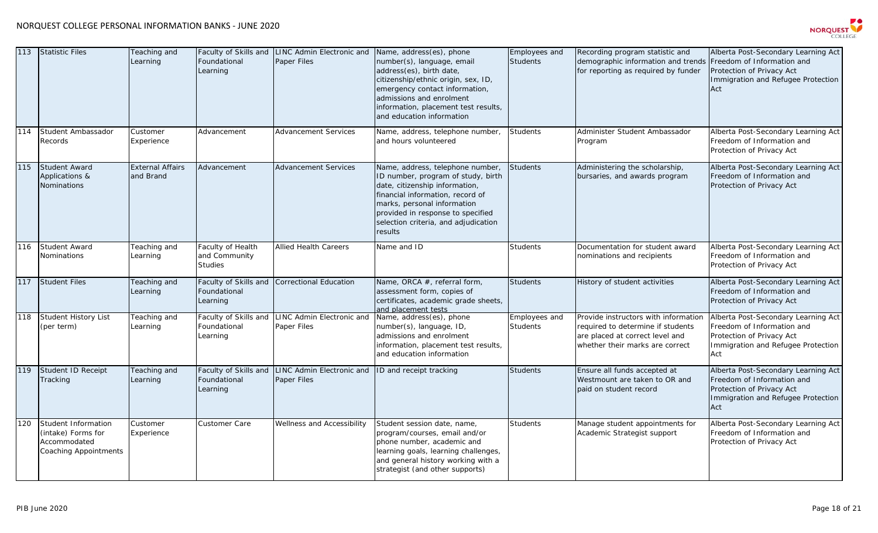

| 113 | <b>Statistic Files</b>                                                                           | Teaching and<br>Learning             | Foundational<br>Learning                             | Faculty of Skills and LINC Admin Electronic and Name, address(es), phone<br>Paper Files | number(s), language, email<br>address(es), birth date,<br>citizenship/ethnic origin, sex, ID,<br>emergency contact information,<br>admissions and enrolment<br>information, placement test results,<br>and education information                                    | Employees and<br><b>Students</b> | Recording program statistic and<br>demographic information and trends<br>for reporting as required by funder                                    | Alberta Post-Secondary Learning Act<br>Freedom of Information and<br>Protection of Privacy Act<br>Immigration and Refugee Protection<br>Act |
|-----|--------------------------------------------------------------------------------------------------|--------------------------------------|------------------------------------------------------|-----------------------------------------------------------------------------------------|---------------------------------------------------------------------------------------------------------------------------------------------------------------------------------------------------------------------------------------------------------------------|----------------------------------|-------------------------------------------------------------------------------------------------------------------------------------------------|---------------------------------------------------------------------------------------------------------------------------------------------|
| 114 | Student Ambassador<br>Records                                                                    | Customer<br>Experience               | Advancement                                          | <b>Advancement Services</b>                                                             | Name, address, telephone number,<br>and hours volunteered                                                                                                                                                                                                           | <b>Students</b>                  | Administer Student Ambassador<br>Program                                                                                                        | Alberta Post-Secondary Learning Act<br>Freedom of Information and<br>Protection of Privacy Act                                              |
| 115 | <b>Student Award</b><br>Applications &<br>Nominations                                            | <b>External Affairs</b><br>and Brand | Advancement                                          | <b>Advancement Services</b>                                                             | Name, address, telephone number,<br>ID number, program of study, birth<br>date, citizenship information,<br>financial information, record of<br>marks, personal information<br>provided in response to specified<br>selection criteria, and adjudication<br>results | <b>Students</b>                  | Administering the scholarship,<br>bursaries, and awards program                                                                                 | Alberta Post-Secondary Learning Act<br>Freedom of Information and<br>Protection of Privacy Act                                              |
| 116 | Student Award<br>Nominations                                                                     | Teaching and<br>Learning             | Faculty of Health<br>and Community<br><b>Studies</b> | <b>Allied Health Careers</b>                                                            | Name and ID                                                                                                                                                                                                                                                         | Students                         | Documentation for student award<br>nominations and recipients                                                                                   | Alberta Post-Secondary Learning Act<br>Freedom of Information and<br>Protection of Privacy Act                                              |
| 117 | <b>Student Files</b>                                                                             | Teaching and<br>Learning             | Faculty of Skills and<br>Foundational<br>Learning    | <b>Correctional Education</b>                                                           | Name, ORCA #, referral form,<br>assessment form, copies of<br>certificates, academic grade sheets,<br>and placement tests                                                                                                                                           | <b>Students</b>                  | History of student activities                                                                                                                   | Alberta Post-Secondary Learning Act<br>Freedom of Information and<br>Protection of Privacy Act                                              |
| 118 | Student History List<br>(per term)                                                               | Teaching and<br>Learning             | Faculty of Skills and<br>Foundational<br>Learning    | LINC Admin Electronic and<br><b>Paper Files</b>                                         | Name, address(es), phone<br>number(s), language, ID,<br>admissions and enrolment<br>information, placement test results,<br>and education information                                                                                                               | Employees and<br><b>Students</b> | Provide instructors with information<br>required to determine if students<br>are placed at correct level and<br>whether their marks are correct | Alberta Post-Secondary Learning Act<br>Freedom of Information and<br>Protection of Privacy Act<br>Immigration and Refugee Protection<br>Act |
| 119 | Student ID Receipt<br>Tracking                                                                   | Teaching and<br>Learning             | Foundational<br>Learning                             | Faculty of Skills and LINC Admin Electronic and<br><b>Paper Files</b>                   | ID and receipt tracking                                                                                                                                                                                                                                             | <b>Students</b>                  | Ensure all funds accepted at<br>Westmount are taken to OR and<br>paid on student record                                                         | Alberta Post-Secondary Learning Act<br>Freedom of Information and<br>Protection of Privacy Act<br>Immigration and Refugee Protection<br>Act |
| 120 | <b>Student Information</b><br>(intake) Forms for<br>Accommodated<br><b>Coaching Appointments</b> | Customer<br>Experience               | Customer Care                                        | Wellness and Accessibility                                                              | Student session date, name,<br>program/courses, email and/or<br>phone number, academic and<br>learning goals, learning challenges,<br>and general history working with a<br>strategist (and other supports)                                                         | <b>Students</b>                  | Manage student appointments for<br>Academic Strategist support                                                                                  | Alberta Post-Secondary Learning Act<br>Freedom of Information and<br>Protection of Privacy Act                                              |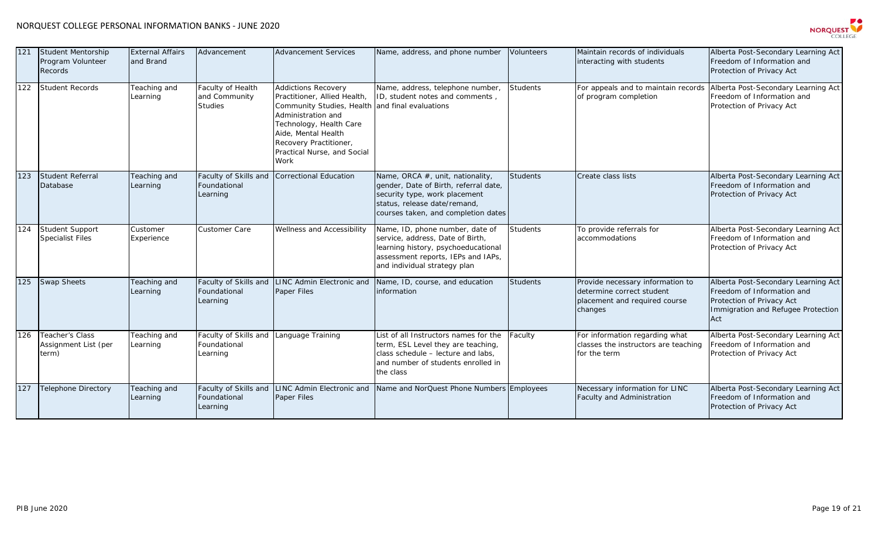

| 121 | Student Mentorship<br>Program Volunteer<br><b>Records</b> | <b>External Affairs</b><br>and Brand | Advancement                                       | <b>Advancement Services</b>                                                                                                                                                                                                                            | Name, address, and phone number                                                                                                                                                   | Volunteers      | Maintain records of individuals<br>interacting with students                                              | Alberta Post-Secondary Learning Act<br>Freedom of Information and<br>Protection of Privacy Act                                              |
|-----|-----------------------------------------------------------|--------------------------------------|---------------------------------------------------|--------------------------------------------------------------------------------------------------------------------------------------------------------------------------------------------------------------------------------------------------------|-----------------------------------------------------------------------------------------------------------------------------------------------------------------------------------|-----------------|-----------------------------------------------------------------------------------------------------------|---------------------------------------------------------------------------------------------------------------------------------------------|
| 122 | <b>Student Records</b>                                    | Teaching and<br>Learning             | Faculty of Health<br>and Community<br>Studies     | <b>Addictions Recovery</b><br>Practitioner, Allied Health,<br>Community Studies, Health and final evaluations<br>Administration and<br>Technology, Health Care<br>Aide, Mental Health<br>Recovery Practitioner,<br>Practical Nurse, and Social<br>Work | Name, address, telephone number,<br>ID, student notes and comments,                                                                                                               | <b>Students</b> | For appeals and to maintain records<br>of program completion                                              | Alberta Post-Secondary Learning Act<br>Freedom of Information and<br>Protection of Privacy Act                                              |
| 123 | <b>Student Referral</b><br>Database                       | Teaching and<br>Learning             | Faculty of Skills and<br>Foundational<br>Learning | <b>Correctional Education</b>                                                                                                                                                                                                                          | Name, ORCA #, unit, nationality,<br>gender, Date of Birth, referral date,<br>security type, work placement<br>status, release date/remand,<br>courses taken, and completion dates | <b>Students</b> | Create class lists                                                                                        | Alberta Post-Secondary Learning Act<br>Freedom of Information and<br>Protection of Privacy Act                                              |
| 124 | Student Support<br><b>Specialist Files</b>                | Customer<br>Experience               | <b>Customer Care</b>                              | Wellness and Accessibility                                                                                                                                                                                                                             | Name, ID, phone number, date of<br>service, address, Date of Birth,<br>learning history, psychoeducational<br>assessment reports, IEPs and IAPs,<br>and individual strategy plan  | <b>Students</b> | To provide referrals for<br>accommodations                                                                | Alberta Post-Secondary Learning Act<br>Freedom of Information and<br>Protection of Privacy Act                                              |
| 125 | <b>Swap Sheets</b>                                        | Teaching and<br>Learning             | Faculty of Skills and<br>Foundational<br>Learning | <b>LINC Admin Electronic and</b><br>Paper Files                                                                                                                                                                                                        | Name, ID, course, and education<br>information                                                                                                                                    | <b>Students</b> | Provide necessary information to<br>determine correct student<br>placement and required course<br>changes | Alberta Post-Secondary Learning Act<br>Freedom of Information and<br>Protection of Privacy Act<br>Immigration and Refugee Protection<br>Act |
| 126 | Teacher's Class<br>Assignment List (per<br>term)          | Teaching and<br>Learning             | Faculty of Skills and<br>Foundational<br>Learning | anguage Training                                                                                                                                                                                                                                       | List of all Instructors names for the<br>term, ESL Level they are teaching,<br>class schedule - lecture and labs,<br>and number of students enrolled in<br>the class              | Faculty         | For information regarding what<br>classes the instructors are teaching<br>for the term                    | Alberta Post-Secondary Learning Act<br>Freedom of Information and<br>Protection of Privacy Act                                              |
| 127 | <b>Telephone Directory</b>                                | Teaching and<br>Learning             | Faculty of Skills and<br>Foundational<br>Learning | LINC Admin Electronic and<br>Paper Files                                                                                                                                                                                                               | Name and NorQuest Phone Numbers Employees                                                                                                                                         |                 | Necessary information for LINC<br>Faculty and Administration                                              | Alberta Post-Secondary Learning Act<br>Freedom of Information and<br>Protection of Privacy Act                                              |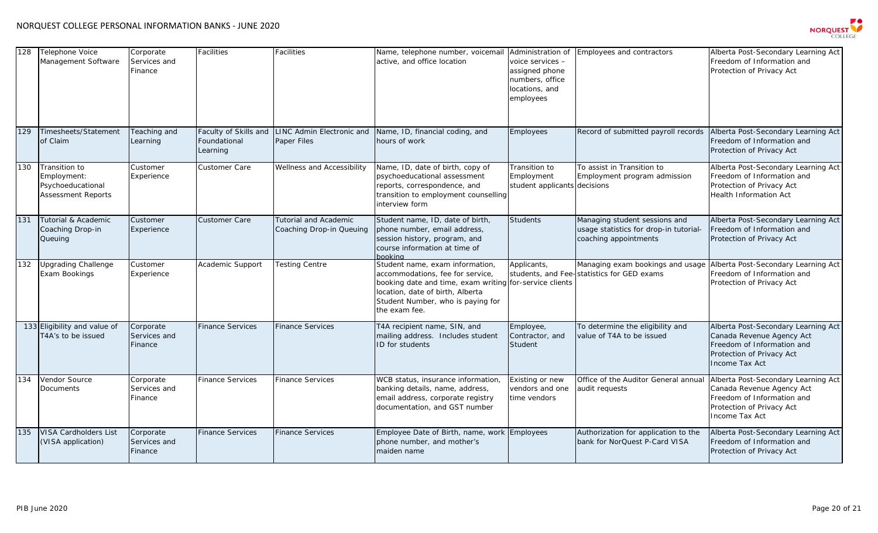

| 128 | <b>Telephone Voice</b><br>Management Software                                  | Corporate<br>Services and<br>Finance | Facilities                                        | Facilities                                               | Name, telephone number, voicemail<br>active, and office location                                                                                                                                                         | Administration of<br>voice services -<br>assigned phone<br>numbers, office<br>locations, and<br>employees | Employees and contractors                                                                                          | Alberta Post-Secondary Learning Act<br>Freedom of Information and<br>Protection of Privacy Act                                                |
|-----|--------------------------------------------------------------------------------|--------------------------------------|---------------------------------------------------|----------------------------------------------------------|--------------------------------------------------------------------------------------------------------------------------------------------------------------------------------------------------------------------------|-----------------------------------------------------------------------------------------------------------|--------------------------------------------------------------------------------------------------------------------|-----------------------------------------------------------------------------------------------------------------------------------------------|
| 129 | Timesheets/Statement<br>of Claim                                               | Teaching and<br>Learning             | Faculty of Skills and<br>Foundational<br>Learning | LINC Admin Electronic and<br>Paper Files                 | Name, ID, financial coding, and<br>hours of work                                                                                                                                                                         | Employees                                                                                                 | Record of submitted payroll records                                                                                | Alberta Post-Secondary Learning Act<br>Freedom of Information and<br>Protection of Privacy Act                                                |
| 130 | Transition to<br>Employment:<br>Psychoeducational<br><b>Assessment Reports</b> | Customer<br>Experience               | Customer Care                                     | Wellness and Accessibility                               | Name, ID, date of birth, copy of<br>psychoeducational assessment<br>reports, correspondence, and<br>transition to employment counselling<br>interview form                                                               | Transition to<br>Employment<br>student applicants decisions                                               | To assist in Transition to<br>Employment program admission                                                         | Alberta Post-Secondary Learning Act<br>Freedom of Information and<br>Protection of Privacy Act<br><b>Health Information Act</b>               |
| 131 | Tutorial & Academic<br>Coaching Drop-in<br>Queuing                             | Customer<br>Experience               | Customer Care                                     | <b>Tutorial and Academic</b><br>Coaching Drop-in Queuing | Student name, ID, date of birth,<br>phone number, email address,<br>session history, program, and<br>course information at time of<br><b>pooking</b>                                                                     | Students                                                                                                  | Managing student sessions and<br>usage statistics for drop-in tutorial-<br>coaching appointments                   | Alberta Post-Secondary Learning Act<br>Freedom of Information and<br>Protection of Privacy Act                                                |
| 132 | <b>Upgrading Challenge</b><br>Exam Bookings                                    | Customer<br>Experience               | Academic Support                                  | <b>Testing Centre</b>                                    | Student name, exam information,<br>accommodations, fee for service,<br>booking date and time, exam writing for-service clients<br>location, date of birth, Alberta<br>Student Number, who is paying for<br>the exam fee. | Applicants,                                                                                               | Managing exam bookings and usage Alberta Post-Secondary Learning Act<br>students, and Fee-statistics for GED exams | Freedom of Information and<br>Protection of Privacy Act                                                                                       |
|     | 133 Eligibility and value of<br>T4A's to be issued                             | Corporate<br>Services and<br>Finance | <b>Finance Services</b>                           | <b>Finance Services</b>                                  | T4A recipient name, SIN, and<br>mailing address. Includes student<br>ID for students                                                                                                                                     | Employee,<br>Contractor, and<br>Student                                                                   | To determine the eligibility and<br>value of T4A to be issued                                                      | Alberta Post-Secondary Learning Act<br>Canada Revenue Agency Act<br>Freedom of Information and<br>Protection of Privacy Act<br>Income Tax Act |
| 134 | Vendor Source<br>Documents                                                     | Corporate<br>Services and<br>Finance | <b>Finance Services</b>                           | <b>Finance Services</b>                                  | WCB status, insurance information,<br>banking details, name, address,<br>email address, corporate registry<br>documentation, and GST number                                                                              | Existing or new<br>vendors and one<br>time vendors                                                        | Office of the Auditor General annual<br>audit requests                                                             | Alberta Post-Secondary Learning Act<br>Canada Revenue Agency Act<br>Freedom of Information and<br>Protection of Privacy Act<br>Income Tax Act |
| 135 | VISA Cardholders List<br>(VISA application)                                    | Corporate<br>Services and<br>Finance | <b>Finance Services</b>                           | <b>Finance Services</b>                                  | Employee Date of Birth, name, work<br>phone number, and mother's<br>maiden name                                                                                                                                          | Employees                                                                                                 | Authorization for application to the<br>bank for NorQuest P-Card VISA                                              | Alberta Post-Secondary Learning Act<br>Freedom of Information and<br>Protection of Privacy Act                                                |